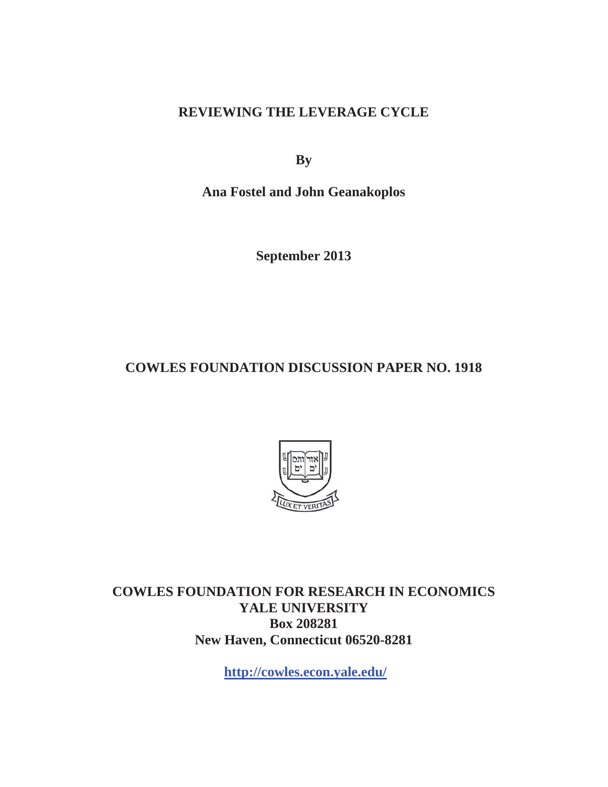**REVIEWING THE LEVERAGE CYCLE** 

**By**

**Ana Fostel and John Geanakoplos** 

**September 2013** 

**COWLES FOUNDATION DISCUSSION PAPER NO. 1918** 



**COWLES FOUNDATION FOR RESEARCH IN ECONOMICS YALE UNIVERSITY Box 208281 New Haven, Connecticut 06520-8281** 

**http://cowles.econ.yale.edu/**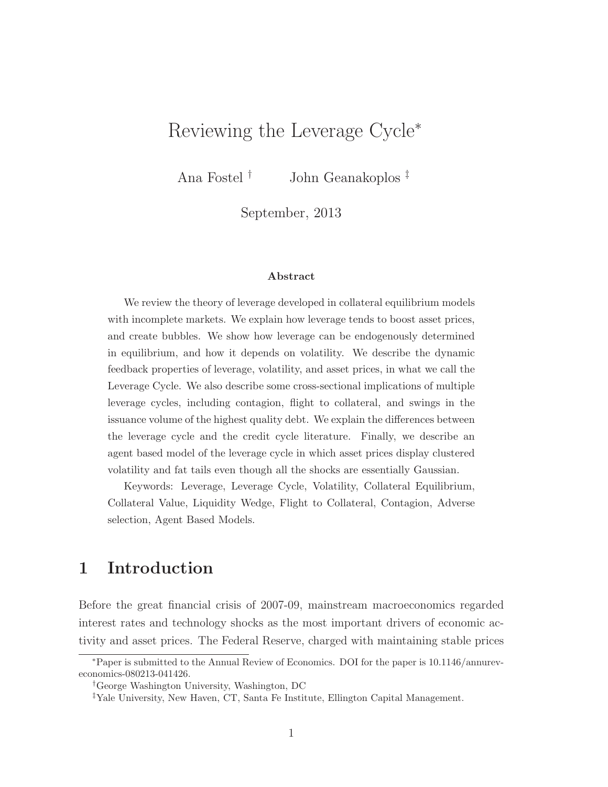# Reviewing the Leverage Cycle<sup>∗</sup>

Ana Fostel † John Geanakoplos ‡

September, 2013

#### **Abstract**

We review the theory of leverage developed in collateral equilibrium models with incomplete markets. We explain how leverage tends to boost asset prices, and create bubbles. We show how leverage can be endogenously determined in equilibrium, and how it depends on volatility. We describe the dynamic feedback properties of leverage, volatility, and asset prices, in what we call the Leverage Cycle. We also describe some cross-sectional implications of multiple leverage cycles, including contagion, flight to collateral, and swings in the issuance volume of the highest quality debt. We explain the differences between the leverage cycle and the credit cycle literature. Finally, we describe an agent based model of the leverage cycle in which asset prices display clustered volatility and fat tails even though all the shocks are essentially Gaussian.

Keywords: Leverage, Leverage Cycle, Volatility, Collateral Equilibrium, Collateral Value, Liquidity Wedge, Flight to Collateral, Contagion, Adverse selection, Agent Based Models.

## **1 Introduction**

Before the great financial crisis of 2007-09, mainstream macroeconomics regarded interest rates and technology shocks as the most important drivers of economic activity and asset prices. The Federal Reserve, charged with maintaining stable prices

<sup>∗</sup>Paper is submitted to the Annual Review of Economics. DOI for the paper is 10.1146/annureveconomics-080213-041426.

<sup>†</sup>George Washington University, Washington, DC

<sup>‡</sup>Yale University, New Haven, CT, Santa Fe Institute, Ellington Capital Management.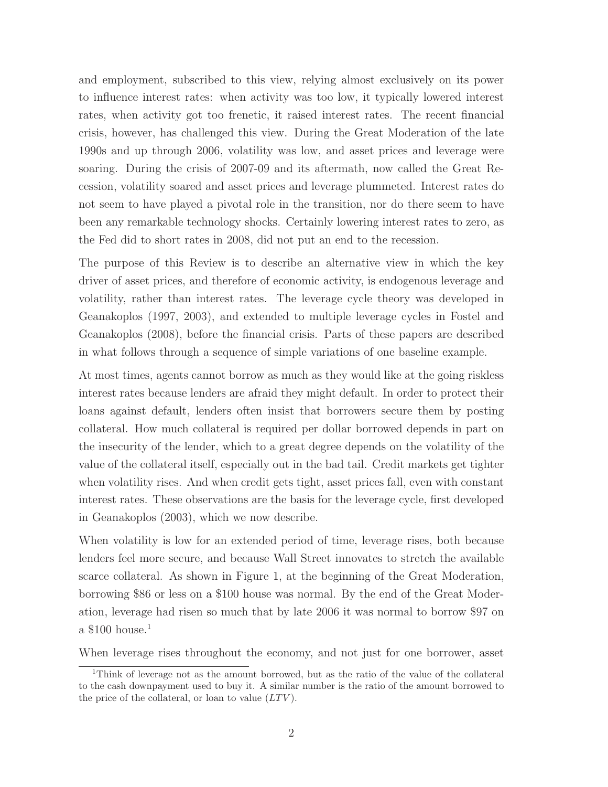and employment, subscribed to this view, relying almost exclusively on its power to influence interest rates: when activity was too low, it typically lowered interest rates, when activity got too frenetic, it raised interest rates. The recent financial crisis, however, has challenged this view. During the Great Moderation of the late 1990s and up through 2006, volatility was low, and asset prices and leverage were soaring. During the crisis of 2007-09 and its aftermath, now called the Great Recession, volatility soared and asset prices and leverage plummeted. Interest rates do not seem to have played a pivotal role in the transition, nor do there seem to have been any remarkable technology shocks. Certainly lowering interest rates to zero, as the Fed did to short rates in 2008, did not put an end to the recession.

The purpose of this Review is to describe an alternative view in which the key driver of asset prices, and therefore of economic activity, is endogenous leverage and volatility, rather than interest rates. The leverage cycle theory was developed in Geanakoplos (1997, 2003), and extended to multiple leverage cycles in Fostel and Geanakoplos (2008), before the financial crisis. Parts of these papers are described in what follows through a sequence of simple variations of one baseline example.

At most times, agents cannot borrow as much as they would like at the going riskless interest rates because lenders are afraid they might default. In order to protect their loans against default, lenders often insist that borrowers secure them by posting collateral. How much collateral is required per dollar borrowed depends in part on the insecurity of the lender, which to a great degree depends on the volatility of the value of the collateral itself, especially out in the bad tail. Credit markets get tighter when volatility rises. And when credit gets tight, asset prices fall, even with constant interest rates. These observations are the basis for the leverage cycle, first developed in Geanakoplos (2003), which we now describe.

When volatility is low for an extended period of time, leverage rises, both because lenders feel more secure, and because Wall Street innovates to stretch the available scarce collateral. As shown in Figure 1, at the beginning of the Great Moderation, borrowing \$86 or less on a \$100 house was normal. By the end of the Great Moderation, leverage had risen so much that by late 2006 it was normal to borrow \$97 on a  $$100$  house.<sup>1</sup>

When leverage rises throughout the economy, and not just for one borrower, asset

<sup>1</sup>Think of leverage not as the amount borrowed, but as the ratio of the value of the collateral to the cash downpayment used to buy it. A similar number is the ratio of the amount borrowed to the price of the collateral, or loan to value  $(LTV)$ .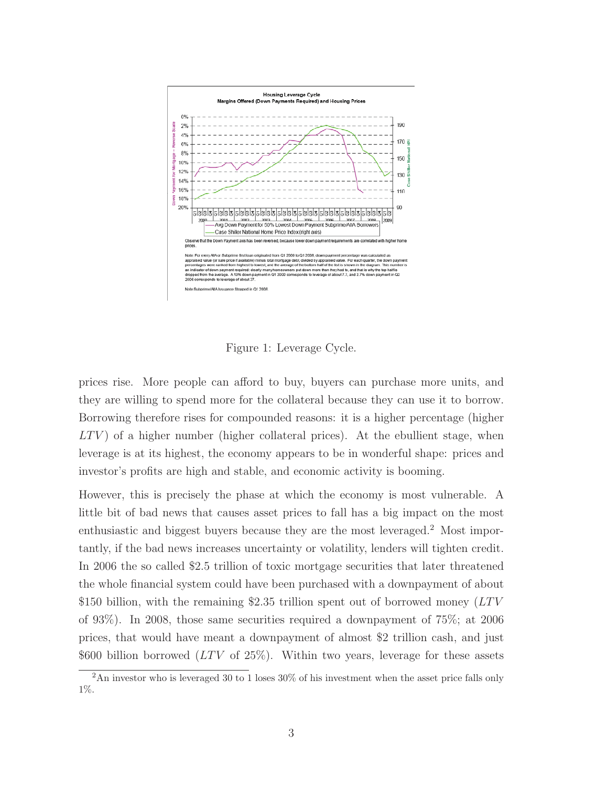

Figure 1: Leverage Cycle.

prices rise. More people can afford to buy, buyers can purchase more units, and they are willing to spend more for the collateral because they can use it to borrow. Borrowing therefore rises for compounded reasons: it is a higher percentage (higher  $LTV$  of a higher number (higher collateral prices). At the ebullient stage, when leverage is at its highest, the economy appears to be in wonderful shape: prices and investor's profits are high and stable, and economic activity is booming.

However, this is precisely the phase at which the economy is most vulnerable. A little bit of bad news that causes asset prices to fall has a big impact on the most enthusiastic and biggest buyers because they are the most leveraged.<sup>2</sup> Most importantly, if the bad news increases uncertainty or volatility, lenders will tighten credit. In 2006 the so called \$2.5 trillion of toxic mortgage securities that later threatened the whole financial system could have been purchased with a downpayment of about \$150 billion, with the remaining \$2.35 trillion spent out of borrowed money  $(LTV)$ of 93%). In 2008, those same securities required a downpayment of 75%; at 2006 prices, that would have meant a downpayment of almost \$2 trillion cash, and just \$600 billion borrowed  $(LTV$  of 25%). Within two years, leverage for these assets

<sup>&</sup>lt;sup>2</sup>An investor who is leveraged 30 to 1 loses 30% of his investment when the asset price falls only 1%.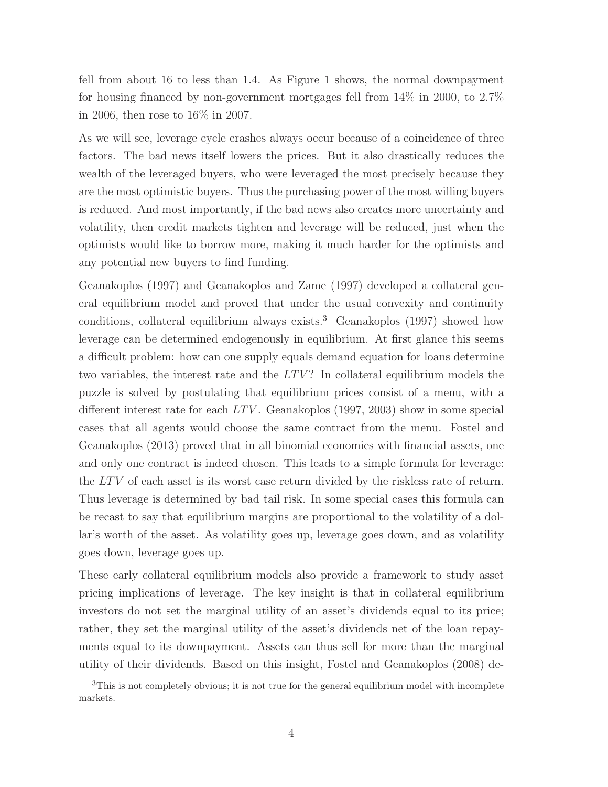fell from about 16 to less than 1.4. As Figure 1 shows, the normal downpayment for housing financed by non-government mortgages fell from 14% in 2000, to 2.7% in 2006, then rose to 16% in 2007.

As we will see, leverage cycle crashes always occur because of a coincidence of three factors. The bad news itself lowers the prices. But it also drastically reduces the wealth of the leveraged buyers, who were leveraged the most precisely because they are the most optimistic buyers. Thus the purchasing power of the most willing buyers is reduced. And most importantly, if the bad news also creates more uncertainty and volatility, then credit markets tighten and leverage will be reduced, just when the optimists would like to borrow more, making it much harder for the optimists and any potential new buyers to find funding.

Geanakoplos (1997) and Geanakoplos and Zame (1997) developed a collateral general equilibrium model and proved that under the usual convexity and continuity conditions, collateral equilibrium always exists.<sup>3</sup> Geanakoplos (1997) showed how leverage can be determined endogenously in equilibrium. At first glance this seems a difficult problem: how can one supply equals demand equation for loans determine two variables, the interest rate and the  $LTV$ ? In collateral equilibrium models the puzzle is solved by postulating that equilibrium prices consist of a menu, with a different interest rate for each  $LTV$ . Geanakoplos (1997, 2003) show in some special cases that all agents would choose the same contract from the menu. Fostel and Geanakoplos (2013) proved that in all binomial economies with financial assets, one and only one contract is indeed chosen. This leads to a simple formula for leverage: the LTV of each asset is its worst case return divided by the riskless rate of return. Thus leverage is determined by bad tail risk. In some special cases this formula can be recast to say that equilibrium margins are proportional to the volatility of a dollar's worth of the asset. As volatility goes up, leverage goes down, and as volatility goes down, leverage goes up.

These early collateral equilibrium models also provide a framework to study asset pricing implications of leverage. The key insight is that in collateral equilibrium investors do not set the marginal utility of an asset's dividends equal to its price; rather, they set the marginal utility of the asset's dividends net of the loan repayments equal to its downpayment. Assets can thus sell for more than the marginal utility of their dividends. Based on this insight, Fostel and Geanakoplos (2008) de-

<sup>&</sup>lt;sup>3</sup>This is not completely obvious; it is not true for the general equilibrium model with incomplete markets.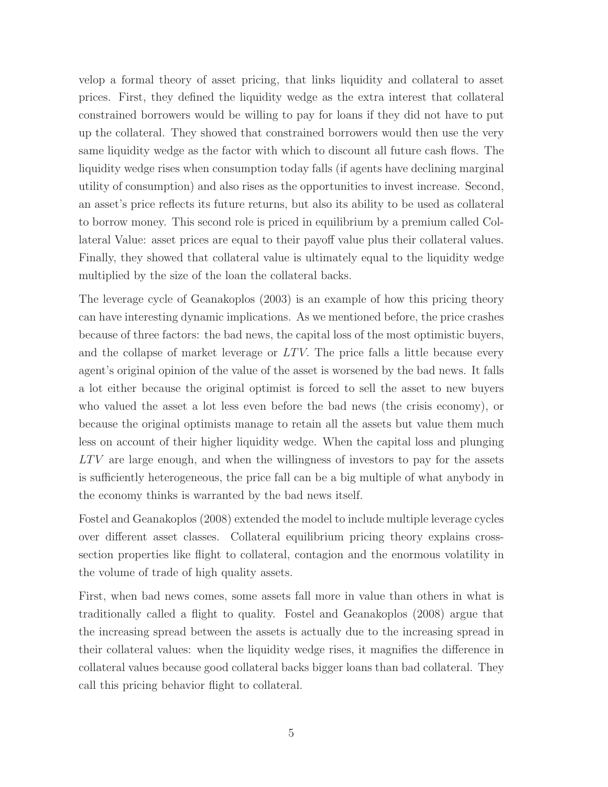velop a formal theory of asset pricing, that links liquidity and collateral to asset prices. First, they defined the liquidity wedge as the extra interest that collateral constrained borrowers would be willing to pay for loans if they did not have to put up the collateral. They showed that constrained borrowers would then use the very same liquidity wedge as the factor with which to discount all future cash flows. The liquidity wedge rises when consumption today falls (if agents have declining marginal utility of consumption) and also rises as the opportunities to invest increase. Second, an asset's price reflects its future returns, but also its ability to be used as collateral to borrow money. This second role is priced in equilibrium by a premium called Collateral Value: asset prices are equal to their payoff value plus their collateral values. Finally, they showed that collateral value is ultimately equal to the liquidity wedge multiplied by the size of the loan the collateral backs.

The leverage cycle of Geanakoplos (2003) is an example of how this pricing theory can have interesting dynamic implications. As we mentioned before, the price crashes because of three factors: the bad news, the capital loss of the most optimistic buyers, and the collapse of market leverage or  $LTV$ . The price falls a little because every agent's original opinion of the value of the asset is worsened by the bad news. It falls a lot either because the original optimist is forced to sell the asset to new buyers who valued the asset a lot less even before the bad news (the crisis economy), or because the original optimists manage to retain all the assets but value them much less on account of their higher liquidity wedge. When the capital loss and plunging  $LTV$  are large enough, and when the willingness of investors to pay for the assets is sufficiently heterogeneous, the price fall can be a big multiple of what anybody in the economy thinks is warranted by the bad news itself.

Fostel and Geanakoplos (2008) extended the model to include multiple leverage cycles over different asset classes. Collateral equilibrium pricing theory explains crosssection properties like flight to collateral, contagion and the enormous volatility in the volume of trade of high quality assets.

First, when bad news comes, some assets fall more in value than others in what is traditionally called a flight to quality. Fostel and Geanakoplos (2008) argue that the increasing spread between the assets is actually due to the increasing spread in their collateral values: when the liquidity wedge rises, it magnifies the difference in collateral values because good collateral backs bigger loans than bad collateral. They call this pricing behavior flight to collateral.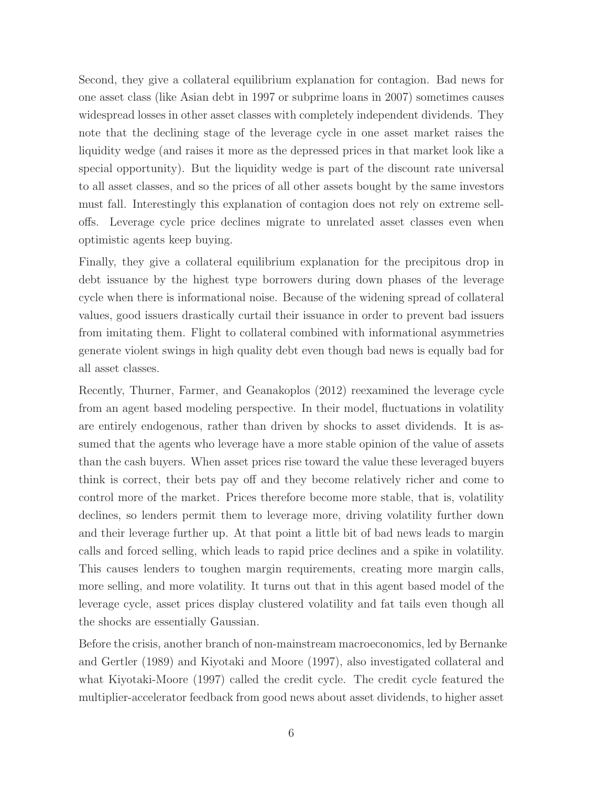Second, they give a collateral equilibrium explanation for contagion. Bad news for one asset class (like Asian debt in 1997 or subprime loans in 2007) sometimes causes widespread losses in other asset classes with completely independent dividends. They note that the declining stage of the leverage cycle in one asset market raises the liquidity wedge (and raises it more as the depressed prices in that market look like a special opportunity). But the liquidity wedge is part of the discount rate universal to all asset classes, and so the prices of all other assets bought by the same investors must fall. Interestingly this explanation of contagion does not rely on extreme selloffs. Leverage cycle price declines migrate to unrelated asset classes even when optimistic agents keep buying.

Finally, they give a collateral equilibrium explanation for the precipitous drop in debt issuance by the highest type borrowers during down phases of the leverage cycle when there is informational noise. Because of the widening spread of collateral values, good issuers drastically curtail their issuance in order to prevent bad issuers from imitating them. Flight to collateral combined with informational asymmetries generate violent swings in high quality debt even though bad news is equally bad for all asset classes.

Recently, Thurner, Farmer, and Geanakoplos (2012) reexamined the leverage cycle from an agent based modeling perspective. In their model, fluctuations in volatility are entirely endogenous, rather than driven by shocks to asset dividends. It is assumed that the agents who leverage have a more stable opinion of the value of assets than the cash buyers. When asset prices rise toward the value these leveraged buyers think is correct, their bets pay off and they become relatively richer and come to control more of the market. Prices therefore become more stable, that is, volatility declines, so lenders permit them to leverage more, driving volatility further down and their leverage further up. At that point a little bit of bad news leads to margin calls and forced selling, which leads to rapid price declines and a spike in volatility. This causes lenders to toughen margin requirements, creating more margin calls, more selling, and more volatility. It turns out that in this agent based model of the leverage cycle, asset prices display clustered volatility and fat tails even though all the shocks are essentially Gaussian.

Before the crisis, another branch of non-mainstream macroeconomics, led by Bernanke and Gertler (1989) and Kiyotaki and Moore (1997), also investigated collateral and what Kiyotaki-Moore (1997) called the credit cycle. The credit cycle featured the multiplier-accelerator feedback from good news about asset dividends, to higher asset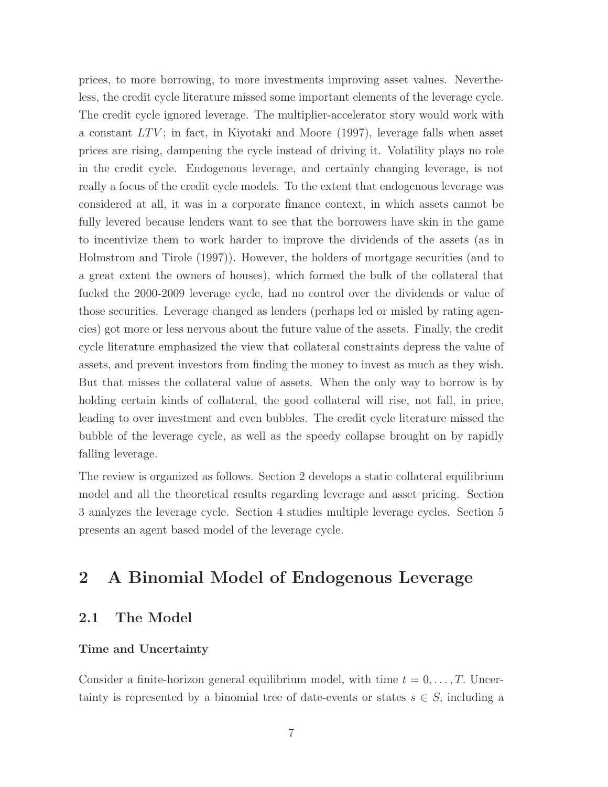prices, to more borrowing, to more investments improving asset values. Nevertheless, the credit cycle literature missed some important elements of the leverage cycle. The credit cycle ignored leverage. The multiplier-accelerator story would work with a constant  $LTV$ ; in fact, in Kiyotaki and Moore (1997), leverage falls when asset prices are rising, dampening the cycle instead of driving it. Volatility plays no role in the credit cycle. Endogenous leverage, and certainly changing leverage, is not really a focus of the credit cycle models. To the extent that endogenous leverage was considered at all, it was in a corporate finance context, in which assets cannot be fully levered because lenders want to see that the borrowers have skin in the game to incentivize them to work harder to improve the dividends of the assets (as in Holmstrom and Tirole (1997)). However, the holders of mortgage securities (and to a great extent the owners of houses), which formed the bulk of the collateral that fueled the 2000-2009 leverage cycle, had no control over the dividends or value of those securities. Leverage changed as lenders (perhaps led or misled by rating agencies) got more or less nervous about the future value of the assets. Finally, the credit cycle literature emphasized the view that collateral constraints depress the value of assets, and prevent investors from finding the money to invest as much as they wish. But that misses the collateral value of assets. When the only way to borrow is by holding certain kinds of collateral, the good collateral will rise, not fall, in price, leading to over investment and even bubbles. The credit cycle literature missed the bubble of the leverage cycle, as well as the speedy collapse brought on by rapidly falling leverage.

The review is organized as follows. Section 2 develops a static collateral equilibrium model and all the theoretical results regarding leverage and asset pricing. Section 3 analyzes the leverage cycle. Section 4 studies multiple leverage cycles. Section 5 presents an agent based model of the leverage cycle.

## **2 A Binomial Model of Endogenous Leverage**

### **2.1 The Model**

#### **Time and Uncertainty**

Consider a finite-horizon general equilibrium model, with time  $t = 0, \ldots, T$ . Uncertainty is represented by a binomial tree of date-events or states  $s \in S$ , including a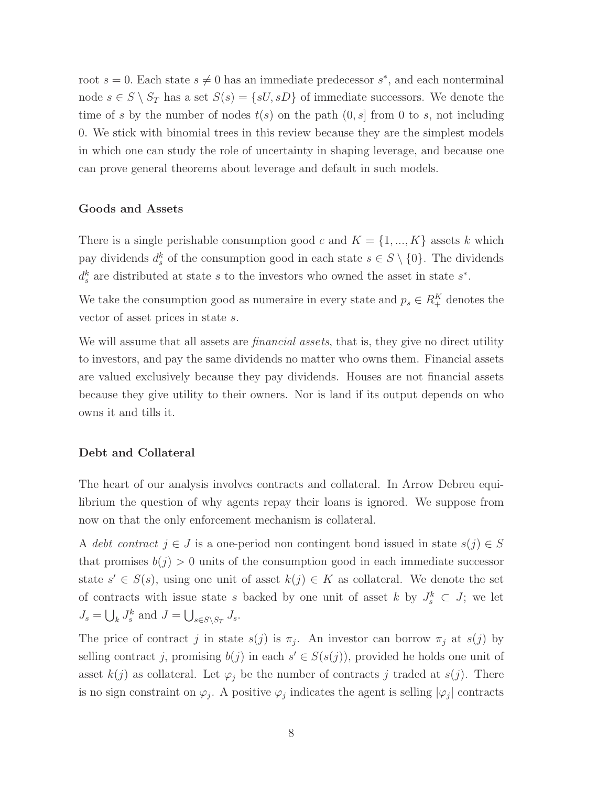root s = 0. Each state  $s \neq 0$  has an immediate predecessor  $s^*$ , and each nonterminal node  $s \in S \setminus S_T$  has a set  $S(s) = \{sU, sD\}$  of immediate successors. We denote the time of s by the number of nodes  $t(s)$  on the path  $(0, s]$  from 0 to s, not including 0. We stick with binomial trees in this review because they are the simplest models in which one can study the role of uncertainty in shaping leverage, and because one can prove general theorems about leverage and default in such models.

#### **Goods and Assets**

There is a single perishable consumption good c and  $K = \{1, ..., K\}$  assets k which pay dividends  $d_s^k$  of the consumption good in each state  $s \in S \setminus \{0\}$ . The dividends  $d_s^k$  are distributed at state s to the investors who owned the asset in state  $s^*$ .

We take the consumption good as numeraire in every state and  $p_s \in R_+^K$  denotes the vector of asset prices in state s.

We will assume that all assets are *financial assets*, that is, they give no direct utility to investors, and pay the same dividends no matter who owns them. Financial assets are valued exclusively because they pay dividends. Houses are not financial assets because they give utility to their owners. Nor is land if its output depends on who owns it and tills it.

#### **Debt and Collateral**

The heart of our analysis involves contracts and collateral. In Arrow Debreu equilibrium the question of why agents repay their loans is ignored. We suppose from now on that the only enforcement mechanism is collateral.

A debt contract  $j \in J$  is a one-period non contingent bond issued in state  $s(j) \in S$ that promises  $b(j) > 0$  units of the consumption good in each immediate successor state  $s' \in S(s)$ , using one unit of asset  $k(j) \in K$  as collateral. We denote the set of contracts with issue state s backed by one unit of asset k by  $J_s^k \subset J$ ; we let  $J_s = \bigcup_k J_s^k$  and  $J = \bigcup_{s \in S \setminus S_T} J_s$ .

The price of contract j in state  $s(j)$  is  $\pi_j$ . An investor can borrow  $\pi_j$  at  $s(j)$  by selling contract j, promising  $b(j)$  in each  $s' \in S(s(j))$ , provided he holds one unit of asset  $k(j)$  as collateral. Let  $\varphi_j$  be the number of contracts j traded at  $s(j)$ . There is no sign constraint on  $\varphi_j$ . A positive  $\varphi_j$  indicates the agent is selling  $|\varphi_j|$  contracts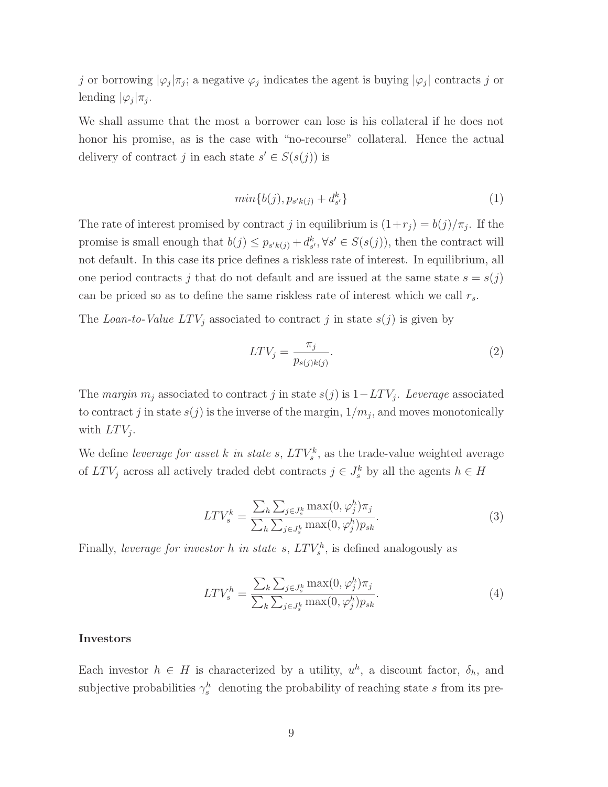j or borrowing  $|\varphi_j|\pi_j$ ; a negative  $\varphi_j$  indicates the agent is buying  $|\varphi_j|$  contracts j or lending  $|\varphi_i|\pi_i$ .

We shall assume that the most a borrower can lose is his collateral if he does not honor his promise, as is the case with "no-recourse" collateral. Hence the actual delivery of contract j in each state  $s' \in S(s(j))$  is

$$
min{b(j), p_{s'k(j)} + d_{s'}^k}
$$
 (1)

The rate of interest promised by contract j in equilibrium is  $(1+r_j) = b(j)/\pi_j$ . If the promise is small enough that  $b(j) \leq p_{s'k(j)} + d_{s'}^k, \forall s' \in S(s(j))$ , then the contract will not default. In this case its price defines a riskless rate of interest. In equilibrium, all one period contracts j that do not default and are issued at the same state  $s = s(j)$ can be priced so as to define the same riskless rate of interest which we call  $r_s$ .

The Loan-to-Value  $LTV_j$  associated to contract j in state  $s(j)$  is given by

$$
LTV_j = \frac{\pi_j}{p_{s(j)k(j)}}.\tag{2}
$$

The margin  $m_j$  associated to contract j in state  $s(j)$  is  $1-LTV_j$ . Leverage associated to contract j in state  $s(j)$  is the inverse of the margin,  $1/m_j$ , and moves monotonically with  $LTV_i$ .

We define leverage for asset k in state s,  $LTV_s^k$ , as the trade-value weighted average of  $LTV_j$  across all actively traded debt contracts  $j \in J_s^k$  by all the agents  $h \in H$ 

$$
LTV_s^k = \frac{\sum_h \sum_{j \in J_s^k} \max(0, \varphi_j^h) \pi_j}{\sum_h \sum_{j \in J_s^k} \max(0, \varphi_j^h) p_{sk}}.
$$
\n(3)

Finally, leverage for investor h in state s,  $LTV_s^h$ , is defined analogously as

$$
LTV_s^h = \frac{\sum_k \sum_{j \in J_s^k} \max(0, \varphi_j^h) \pi_j}{\sum_k \sum_{j \in J_s^k} \max(0, \varphi_j^h) p_{sk}}.
$$
\n(4)

#### **Investors**

Each investor  $h \in H$  is characterized by a utility,  $u^h$ , a discount factor,  $\delta_h$ , and subjective probabilities  $\gamma_s^h$  denoting the probability of reaching state s from its pre-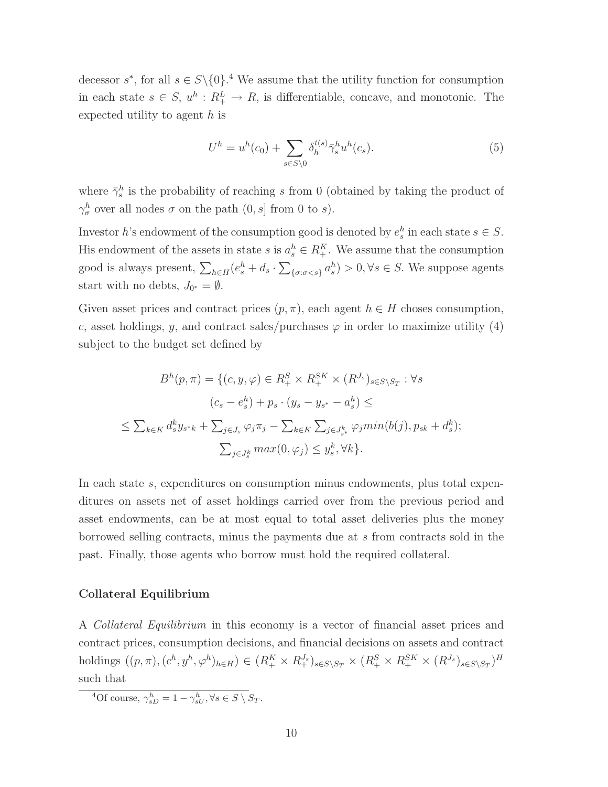decessor  $s^*$ , for all  $s \in S \setminus \{0\}$ .<sup>4</sup> We assume that the utility function for consumption in each state  $s \in S$ ,  $u^h : R_+^L \to R$ , is differentiable, concave, and monotonic. The expected utility to agent  $h$  is

$$
U^h = u^h(c_0) + \sum_{s \in S \backslash 0} \delta_h^{t(s)} \bar{\gamma}_s^h u^h(c_s). \tag{5}
$$

where  $\bar{\gamma}_s^h$  is the probability of reaching s from 0 (obtained by taking the product of  $\gamma_{\sigma}^{h}$  over all nodes  $\sigma$  on the path  $(0, s]$  from 0 to s).

Investor h's endowment of the consumption good is denoted by  $e_s^h$  in each state  $s \in S$ . His endowment of the assets in state s is  $a_s^h \in R_+^K$ . We assume that the consumption good is always present,  $\sum_{h\in H}(e_s^h+d_s\cdot\sum_{\{\sigma:\sigma\leq s\}}a_s^h)>0, \forall s\in S$ . We suppose agents start with no debts,  $J_{0^*} = \emptyset$ .

Given asset prices and contract prices  $(p, \pi)$ , each agent  $h \in H$  choses consumption, c, asset holdings, y, and contract sales/purchases  $\varphi$  in order to maximize utility (4) subject to the budget set defined by

$$
B^{h}(p,\pi) = \{(c, y, \varphi) \in R_{+}^{S} \times R_{+}^{SK} \times (R^{J_{s}})_{s \in S \setminus S_{T}} : \forall s
$$

$$
(c_{s} - e_{s}^{h}) + p_{s} \cdot (y_{s} - y_{s^{*}} - a_{s}^{h}) \le
$$

$$
\le \sum_{k \in K} d_{s}^{k} y_{s^{*}k} + \sum_{j \in J_{s}} \varphi_{j} \pi_{j} - \sum_{k \in K} \sum_{j \in J_{s}^{k}} \varphi_{j} min(b(j), p_{sk} + d_{s}^{k});
$$

$$
\sum_{j \in J_{s}^{k}} max(0, \varphi_{j}) \le y_{s}^{k}, \forall k \}.
$$

In each state s, expenditures on consumption minus endowments, plus total expenditures on assets net of asset holdings carried over from the previous period and asset endowments, can be at most equal to total asset deliveries plus the money borrowed selling contracts, minus the payments due at s from contracts sold in the past. Finally, those agents who borrow must hold the required collateral.

#### **Collateral Equilibrium**

A Collateral Equilibrium in this economy is a vector of financial asset prices and contract prices, consumption decisions, and financial decisions on assets and contract holdings  $((p,\pi),(c^h,y^h,\varphi^h)_{h\in H}) \in (R_+^K \times R_+^{J_s})_{s\in S\setminus S_T} \times (R_+^S \times R_+^{SK} \times (R^{J_s})_{s\in S\setminus S_T})^H$ such that

<sup>4</sup>Of course,  $\gamma_{sD}^{h} = 1 - \gamma_{sU}^{h}, \forall s \in S \setminus S_T$ .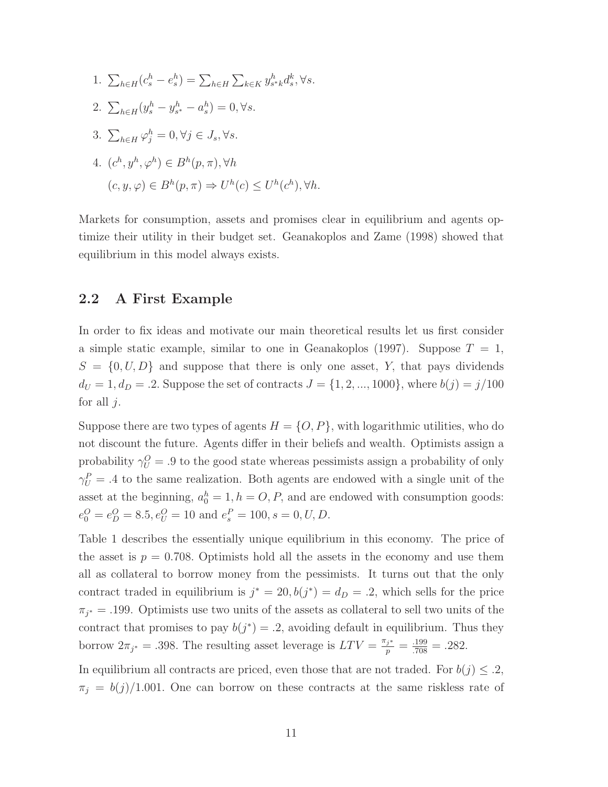1.  $\sum_{h \in H} (c_s^h - e_s^h) = \sum_{h \in H} \sum_{k \in K} y_{s^*k}^h d_s^k, \forall s.$ 2.  $\sum_{h \in H} (y_s^h - y_{s^*}^h - a_s^h) = 0, \forall s.$ 3.  $\sum_{h\in H}\varphi_j^h=0, \forall j\in J_s, \forall s.$ 4.  $(c^h, y^h, \varphi^h) \in B^h(p, \pi), \forall h$  $(c, y, \varphi) \in B^h(p, \pi) \Rightarrow U^h(c) \leq U^h(c^h), \forall h.$ 

Markets for consumption, assets and promises clear in equilibrium and agents optimize their utility in their budget set. Geanakoplos and Zame (1998) showed that equilibrium in this model always exists.

### **2.2 A First Example**

In order to fix ideas and motivate our main theoretical results let us first consider a simple static example, similar to one in Geanakoplos (1997). Suppose  $T = 1$ ,  $S = \{0, U, D\}$  and suppose that there is only one asset, Y, that pays dividends  $d_U = 1, d_D = .2$ . Suppose the set of contracts  $J = \{1, 2, ..., 1000\}$ , where  $b(j) = j/100$ for all  $j$ .

Suppose there are two types of agents  $H = \{O, P\}$ , with logarithmic utilities, who do not discount the future. Agents differ in their beliefs and wealth. Optimists assign a probability  $\gamma_U^O = 0.9$  to the good state whereas pessimists assign a probability of only  $\gamma_U^P = .4$  to the same realization. Both agents are endowed with a single unit of the asset at the beginning,  $a_0^h = 1, h = 0, P$ , and are endowed with consumption goods:  $e_0^O = e_D^O = 8.5, e_U^O = 10$  and  $e_s^P = 100, s = 0, U, D$ .

Table 1 describes the essentially unique equilibrium in this economy. The price of the asset is  $p = 0.708$ . Optimists hold all the assets in the economy and use them all as collateral to borrow money from the pessimists. It turns out that the only contract traded in equilibrium is  $j^* = 20, b(j^*) = d_D = .2$ , which sells for the price  $\pi_{j^*} = .199$ . Optimists use two units of the assets as collateral to sell two units of the contract that promises to pay  $b(j^*) = .2$ , avoiding default in equilibrium. Thus they borrow  $2\pi_{j^*} = .398$ . The resulting asset leverage is  $LTV = \frac{\pi_{j^*}}{p} = \frac{.199}{.708} = .282$ .

In equilibrium all contracts are priced, even those that are not traded. For  $b(j) \leq 0.2$ ,  $\pi_j = b(j)/1.001$ . One can borrow on these contracts at the same riskless rate of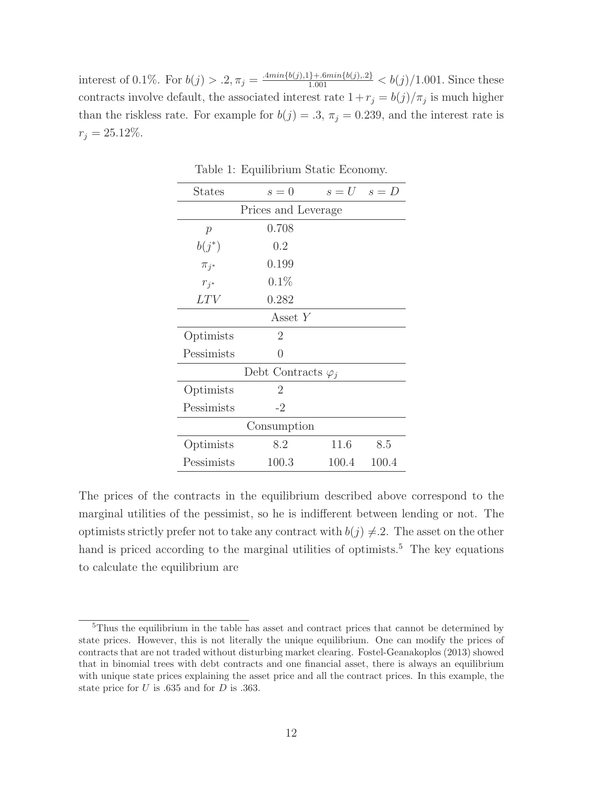interest of 0.1%. For  $b(j) > 0.2$ ,  $\pi_j = \frac{.4min\{b(j),1\}+.6min\{b(j),.2\}}{1.001} < b(j)/1.001$ . Since these contracts involve default, the associated interest rate  $1 + r_j = b(j)/\pi_j$  is much higher than the riskless rate. For example for  $b(j) = .3$ ,  $\pi_j = 0.239$ , and the interest rate is  $r_j = 25.12\%.$ 

| <b>States</b>       | $s=0$                      |       | $s = U$ $s = D$ |  |  |  |  |  |
|---------------------|----------------------------|-------|-----------------|--|--|--|--|--|
| Prices and Leverage |                            |       |                 |  |  |  |  |  |
| $\mathcal{P}$       | 0.708                      |       |                 |  |  |  |  |  |
| $b(j^*)$            | 0.2                        |       |                 |  |  |  |  |  |
| $\pi_{j^*}$         | 0.199                      |       |                 |  |  |  |  |  |
| $r_{i^*}$           | 0.1%                       |       |                 |  |  |  |  |  |
| LTV                 | 0.282                      |       |                 |  |  |  |  |  |
| Asset $Y$           |                            |       |                 |  |  |  |  |  |
| Optimists           | $\overline{2}$             |       |                 |  |  |  |  |  |
| Pessimists          | $\Omega$                   |       |                 |  |  |  |  |  |
|                     | Debt Contracts $\varphi_i$ |       |                 |  |  |  |  |  |
| Optimists           | $\overline{2}$             |       |                 |  |  |  |  |  |
| Pessimists          | $-2$                       |       |                 |  |  |  |  |  |
|                     | Consumption                |       |                 |  |  |  |  |  |
| Optimists           | 8.2                        | 11.6  | 8.5             |  |  |  |  |  |
| Pessimists          | 100.3                      | 100.4 | 100.4           |  |  |  |  |  |

Table 1: Equilibrium Static Economy.

The prices of the contracts in the equilibrium described above correspond to the marginal utilities of the pessimist, so he is indifferent between lending or not. The optimists strictly prefer not to take any contract with  $b(j) \neq 2$ . The asset on the other hand is priced according to the marginal utilities of optimists.<sup>5</sup> The key equations to calculate the equilibrium are

<sup>&</sup>lt;sup>5</sup>Thus the equilibrium in the table has asset and contract prices that cannot be determined by state prices. However, this is not literally the unique equilibrium. One can modify the prices of contracts that are not traded without disturbing market clearing. Fostel-Geanakoplos (2013) showed that in binomial trees with debt contracts and one financial asset, there is always an equilibrium with unique state prices explaining the asset price and all the contract prices. In this example, the state price for  $U$  is .635 and for  $D$  is .363.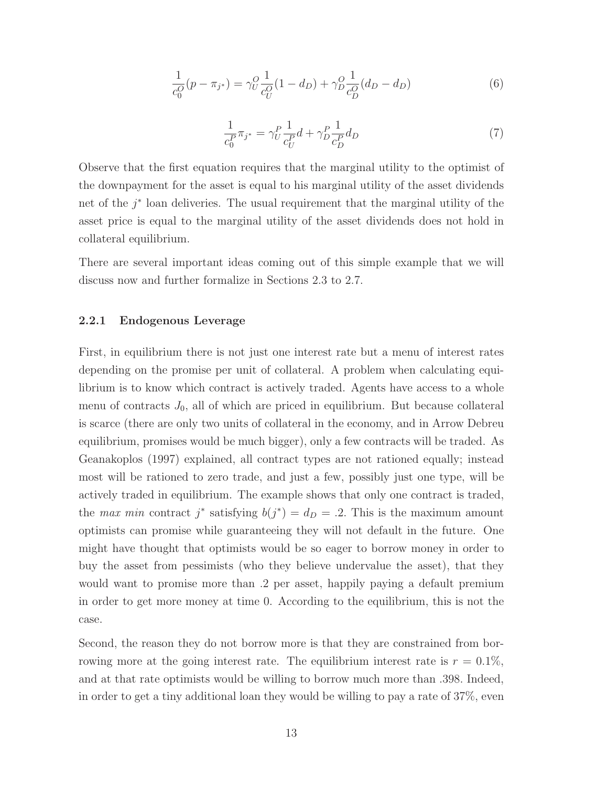$$
\frac{1}{c_0^O}(p - \pi_{j^*}) = \gamma_U^O \frac{1}{c_U^O}(1 - d_D) + \gamma_D^O \frac{1}{c_D^O}(d_D - d_D) \tag{6}
$$

$$
\frac{1}{c_0^P} \pi_{j^*} = \gamma_U^P \frac{1}{c_U^P} d + \gamma_D^P \frac{1}{c_D^P} d_D \tag{7}
$$

Observe that the first equation requires that the marginal utility to the optimist of the downpayment for the asset is equal to his marginal utility of the asset dividends net of the j<sup>∗</sup> loan deliveries. The usual requirement that the marginal utility of the asset price is equal to the marginal utility of the asset dividends does not hold in collateral equilibrium.

There are several important ideas coming out of this simple example that we will discuss now and further formalize in Sections 2.3 to 2.7.

#### **2.2.1 Endogenous Leverage**

First, in equilibrium there is not just one interest rate but a menu of interest rates depending on the promise per unit of collateral. A problem when calculating equilibrium is to know which contract is actively traded. Agents have access to a whole menu of contracts  $J_0$ , all of which are priced in equilibrium. But because collateral is scarce (there are only two units of collateral in the economy, and in Arrow Debreu equilibrium, promises would be much bigger), only a few contracts will be traded. As Geanakoplos (1997) explained, all contract types are not rationed equally; instead most will be rationed to zero trade, and just a few, possibly just one type, will be actively traded in equilibrium. The example shows that only one contract is traded, the max min contract j<sup>\*</sup> satisfying  $b(j^*) = d_D = .2$ . This is the maximum amount optimists can promise while guaranteeing they will not default in the future. One might have thought that optimists would be so eager to borrow money in order to buy the asset from pessimists (who they believe undervalue the asset), that they would want to promise more than .2 per asset, happily paying a default premium in order to get more money at time 0. According to the equilibrium, this is not the case.

Second, the reason they do not borrow more is that they are constrained from borrowing more at the going interest rate. The equilibrium interest rate is  $r = 0.1\%$ , and at that rate optimists would be willing to borrow much more than .398. Indeed, in order to get a tiny additional loan they would be willing to pay a rate of 37%, even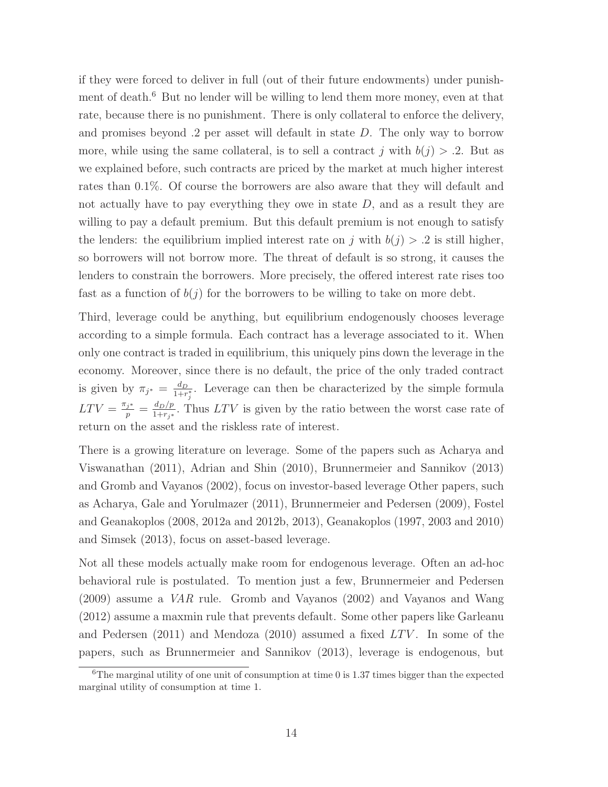if they were forced to deliver in full (out of their future endowments) under punishment of death.<sup>6</sup> But no lender will be willing to lend them more money, even at that rate, because there is no punishment. There is only collateral to enforce the delivery, and promises beyond  $\alpha$  per asset will default in state D. The only way to borrow more, while using the same collateral, is to sell a contract j with  $b(j) > 0.2$ . But as we explained before, such contracts are priced by the market at much higher interest rates than 0.1%. Of course the borrowers are also aware that they will default and not actually have to pay everything they owe in state  $D$ , and as a result they are willing to pay a default premium. But this default premium is not enough to satisfy the lenders: the equilibrium implied interest rate on j with  $b(j) > 0.2$  is still higher, so borrowers will not borrow more. The threat of default is so strong, it causes the lenders to constrain the borrowers. More precisely, the offered interest rate rises too fast as a function of  $b(j)$  for the borrowers to be willing to take on more debt.

Third, leverage could be anything, but equilibrium endogenously chooses leverage according to a simple formula. Each contract has a leverage associated to it. When only one contract is traded in equilibrium, this uniquely pins down the leverage in the economy. Moreover, since there is no default, the price of the only traded contract is given by  $\pi_{j^*} = \frac{d_D}{1+r_j^*}$ . Leverage can then be characterized by the simple formula  $LTV = \frac{\pi_{j^*}}{p} = \frac{d_D/p}{1 + r_{j^*}}$ . Thus  $LTV$  is given by the ratio between the worst case rate of return on the asset and the riskless rate of interest.

There is a growing literature on leverage. Some of the papers such as Acharya and Viswanathan (2011), Adrian and Shin (2010), Brunnermeier and Sannikov (2013) and Gromb and Vayanos (2002), focus on investor-based leverage Other papers, such as Acharya, Gale and Yorulmazer (2011), Brunnermeier and Pedersen (2009), Fostel and Geanakoplos (2008, 2012a and 2012b, 2013), Geanakoplos (1997, 2003 and 2010) and Simsek (2013), focus on asset-based leverage.

Not all these models actually make room for endogenous leverage. Often an ad-hoc behavioral rule is postulated. To mention just a few, Brunnermeier and Pedersen (2009) assume a VAR rule. Gromb and Vayanos (2002) and Vayanos and Wang (2012) assume a maxmin rule that prevents default. Some other papers like Garleanu and Pedersen (2011) and Mendoza (2010) assumed a fixed  $LTV$ . In some of the papers, such as Brunnermeier and Sannikov (2013), leverage is endogenous, but

 $6$ The marginal utility of one unit of consumption at time 0 is 1.37 times bigger than the expected marginal utility of consumption at time 1.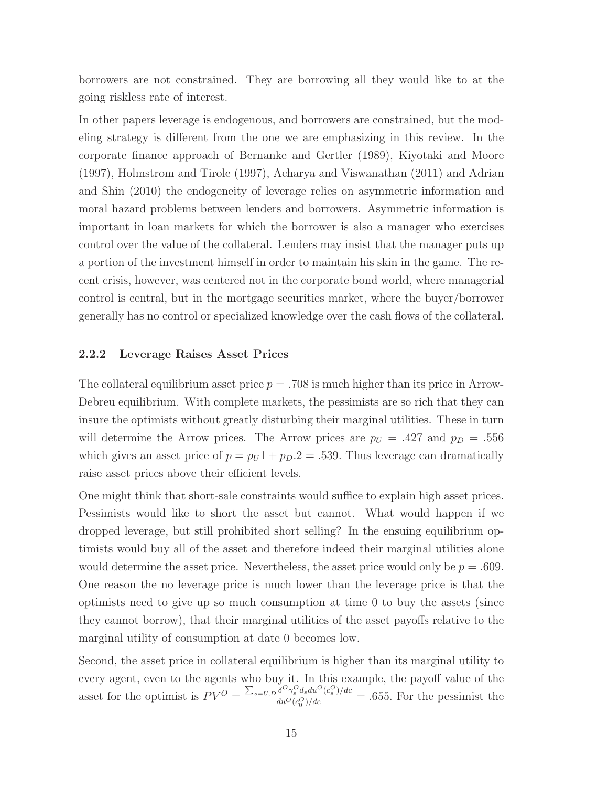borrowers are not constrained. They are borrowing all they would like to at the going riskless rate of interest.

In other papers leverage is endogenous, and borrowers are constrained, but the modeling strategy is different from the one we are emphasizing in this review. In the corporate finance approach of Bernanke and Gertler (1989), Kiyotaki and Moore (1997), Holmstrom and Tirole (1997), Acharya and Viswanathan (2011) and Adrian and Shin (2010) the endogeneity of leverage relies on asymmetric information and moral hazard problems between lenders and borrowers. Asymmetric information is important in loan markets for which the borrower is also a manager who exercises control over the value of the collateral. Lenders may insist that the manager puts up a portion of the investment himself in order to maintain his skin in the game. The recent crisis, however, was centered not in the corporate bond world, where managerial control is central, but in the mortgage securities market, where the buyer/borrower generally has no control or specialized knowledge over the cash flows of the collateral.

#### **2.2.2 Leverage Raises Asset Prices**

The collateral equilibrium asset price  $p = 0.708$  is much higher than its price in Arrow-Debreu equilibrium. With complete markets, the pessimists are so rich that they can insure the optimists without greatly disturbing their marginal utilities. These in turn will determine the Arrow prices. The Arrow prices are  $p_U = .427$  and  $p_D = .556$ which gives an asset price of  $p = p_U 1 + p_D.2 = .539$ . Thus leverage can dramatically raise asset prices above their efficient levels.

One might think that short-sale constraints would suffice to explain high asset prices. Pessimists would like to short the asset but cannot. What would happen if we dropped leverage, but still prohibited short selling? In the ensuing equilibrium optimists would buy all of the asset and therefore indeed their marginal utilities alone would determine the asset price. Nevertheless, the asset price would only be  $p = .609$ . One reason the no leverage price is much lower than the leverage price is that the optimists need to give up so much consumption at time 0 to buy the assets (since they cannot borrow), that their marginal utilities of the asset payoffs relative to the marginal utility of consumption at date 0 becomes low.

Second, the asset price in collateral equilibrium is higher than its marginal utility to every agent, even to the agents who buy it. In this example, the payoff value of the asset for the optimist is  $PV^{O} = \frac{\sum_{s=U,D} \delta^{O} \gamma_{s}^{O} d_{s} du^{O}(c_{s}^{O})/dc}{d_{v} O(c_{s}^{O})/dc}$  $\frac{\partial^0 V_{\beta}^s}{\partial u^0 (c_0^0)/dc}$  = .655. For the pessimist the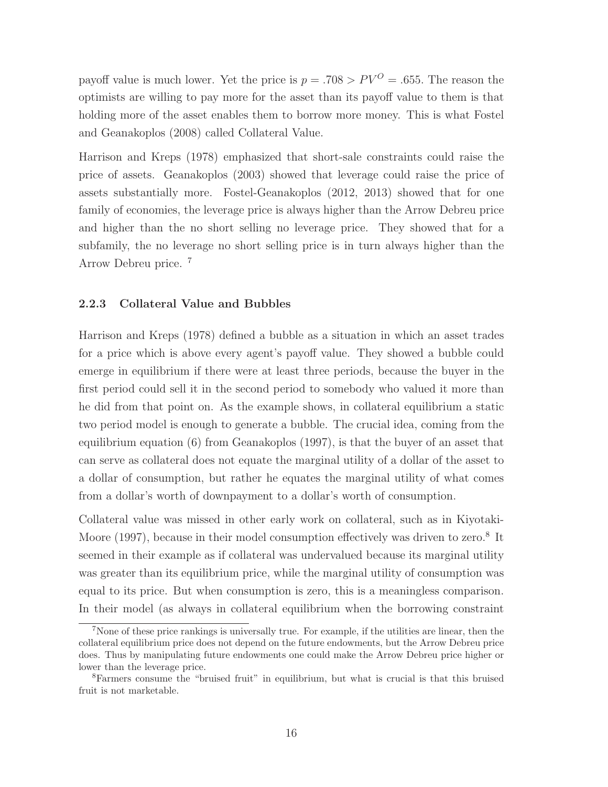payoff value is much lower. Yet the price is  $p = .708 > PV^{O} = .655$ . The reason the optimists are willing to pay more for the asset than its payoff value to them is that holding more of the asset enables them to borrow more money. This is what Fostel and Geanakoplos (2008) called Collateral Value.

Harrison and Kreps (1978) emphasized that short-sale constraints could raise the price of assets. Geanakoplos (2003) showed that leverage could raise the price of assets substantially more. Fostel-Geanakoplos (2012, 2013) showed that for one family of economies, the leverage price is always higher than the Arrow Debreu price and higher than the no short selling no leverage price. They showed that for a subfamily, the no leverage no short selling price is in turn always higher than the Arrow Debreu price. <sup>7</sup>

#### **2.2.3 Collateral Value and Bubbles**

Harrison and Kreps (1978) defined a bubble as a situation in which an asset trades for a price which is above every agent's payoff value. They showed a bubble could emerge in equilibrium if there were at least three periods, because the buyer in the first period could sell it in the second period to somebody who valued it more than he did from that point on. As the example shows, in collateral equilibrium a static two period model is enough to generate a bubble. The crucial idea, coming from the equilibrium equation (6) from Geanakoplos (1997), is that the buyer of an asset that can serve as collateral does not equate the marginal utility of a dollar of the asset to a dollar of consumption, but rather he equates the marginal utility of what comes from a dollar's worth of downpayment to a dollar's worth of consumption.

Collateral value was missed in other early work on collateral, such as in Kiyotaki-Moore (1997), because in their model consumption effectively was driven to zero.<sup>8</sup> It seemed in their example as if collateral was undervalued because its marginal utility was greater than its equilibrium price, while the marginal utility of consumption was equal to its price. But when consumption is zero, this is a meaningless comparison. In their model (as always in collateral equilibrium when the borrowing constraint

<sup>7</sup>None of these price rankings is universally true. For example, if the utilities are linear, then the collateral equilibrium price does not depend on the future endowments, but the Arrow Debreu price does. Thus by manipulating future endowments one could make the Arrow Debreu price higher or lower than the leverage price.

<sup>8</sup>Farmers consume the "bruised fruit" in equilibrium, but what is crucial is that this bruised fruit is not marketable.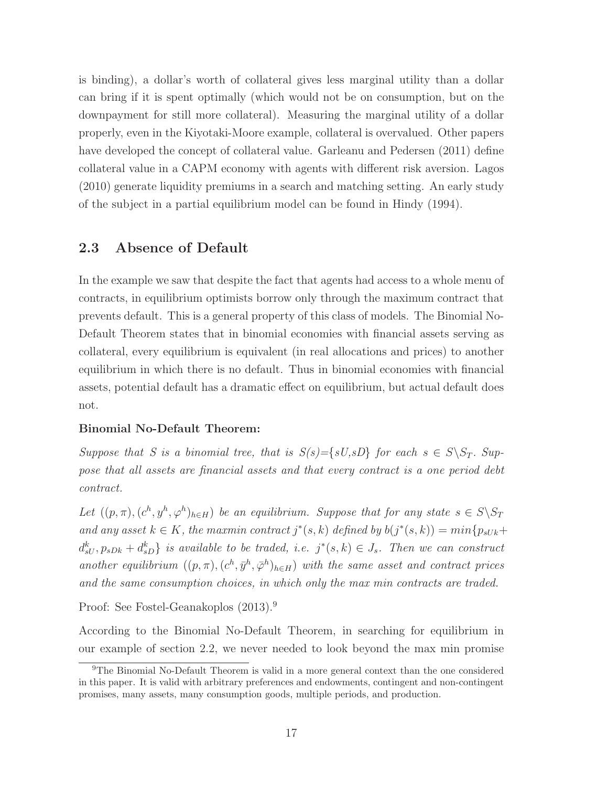is binding), a dollar's worth of collateral gives less marginal utility than a dollar can bring if it is spent optimally (which would not be on consumption, but on the downpayment for still more collateral). Measuring the marginal utility of a dollar properly, even in the Kiyotaki-Moore example, collateral is overvalued. Other papers have developed the concept of collateral value. Garleanu and Pedersen (2011) define collateral value in a CAPM economy with agents with different risk aversion. Lagos (2010) generate liquidity premiums in a search and matching setting. An early study of the subject in a partial equilibrium model can be found in Hindy (1994).

### **2.3 Absence of Default**

In the example we saw that despite the fact that agents had access to a whole menu of contracts, in equilibrium optimists borrow only through the maximum contract that prevents default. This is a general property of this class of models. The Binomial No-Default Theorem states that in binomial economies with financial assets serving as collateral, every equilibrium is equivalent (in real allocations and prices) to another equilibrium in which there is no default. Thus in binomial economies with financial assets, potential default has a dramatic effect on equilibrium, but actual default does not.

#### **Binomial No-Default Theorem:**

Suppose that S is a binomial tree, that is  $S(s) = \{sU, sD\}$  for each  $s \in S \setminus S_T$ . Suppose that all assets are financial assets and that every contract is a one period debt contract.

Let  $((p,\pi),(c^h,y^h,\varphi^h)_{h\in H})$  be an equilibrium. Suppose that for any state  $s \in S \backslash S_T$ and any asset  $k \in K$ , the maxmin contract  $j^*(s, k)$  defined by  $b(j^*(s, k)) = min\{p_{sUk} + p_{sUk}\}$  $d_{sU}^k, p_{sDk} + d_{sD}^k$  is available to be traded, i.e.  $j^*(s, k) \in J_s$ . Then we can construct another equilibrium  $((p, \pi), (c^h, \bar{y}^h, \bar{\varphi}^h)_{h\in H})$  with the same asset and contract prices and the same consumption choices, in which only the max min contracts are traded.

Proof: See Fostel-Geanakoplos (2013).<sup>9</sup>

According to the Binomial No-Default Theorem, in searching for equilibrium in our example of section 2.2, we never needed to look beyond the max min promise

<sup>9</sup>The Binomial No-Default Theorem is valid in a more general context than the one considered in this paper. It is valid with arbitrary preferences and endowments, contingent and non-contingent promises, many assets, many consumption goods, multiple periods, and production.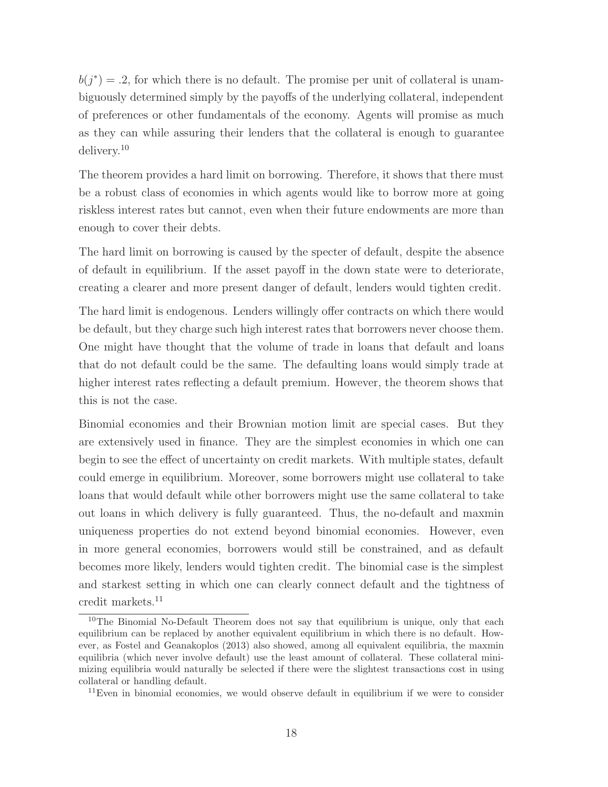$b(j^*) = .2$ , for which there is no default. The promise per unit of collateral is unambiguously determined simply by the payoffs of the underlying collateral, independent of preferences or other fundamentals of the economy. Agents will promise as much as they can while assuring their lenders that the collateral is enough to guarantee delivery.<sup>10</sup>

The theorem provides a hard limit on borrowing. Therefore, it shows that there must be a robust class of economies in which agents would like to borrow more at going riskless interest rates but cannot, even when their future endowments are more than enough to cover their debts.

The hard limit on borrowing is caused by the specter of default, despite the absence of default in equilibrium. If the asset payoff in the down state were to deteriorate, creating a clearer and more present danger of default, lenders would tighten credit.

The hard limit is endogenous. Lenders willingly offer contracts on which there would be default, but they charge such high interest rates that borrowers never choose them. One might have thought that the volume of trade in loans that default and loans that do not default could be the same. The defaulting loans would simply trade at higher interest rates reflecting a default premium. However, the theorem shows that this is not the case.

Binomial economies and their Brownian motion limit are special cases. But they are extensively used in finance. They are the simplest economies in which one can begin to see the effect of uncertainty on credit markets. With multiple states, default could emerge in equilibrium. Moreover, some borrowers might use collateral to take loans that would default while other borrowers might use the same collateral to take out loans in which delivery is fully guaranteed. Thus, the no-default and maxmin uniqueness properties do not extend beyond binomial economies. However, even in more general economies, borrowers would still be constrained, and as default becomes more likely, lenders would tighten credit. The binomial case is the simplest and starkest setting in which one can clearly connect default and the tightness of credit markets.<sup>11</sup>

<sup>&</sup>lt;sup>10</sup>The Binomial No-Default Theorem does not say that equilibrium is unique, only that each equilibrium can be replaced by another equivalent equilibrium in which there is no default. However, as Fostel and Geanakoplos (2013) also showed, among all equivalent equilibria, the maxmin equilibria (which never involve default) use the least amount of collateral. These collateral minimizing equilibria would naturally be selected if there were the slightest transactions cost in using collateral or handling default.

<sup>&</sup>lt;sup>11</sup>Even in binomial economies, we would observe default in equilibrium if we were to consider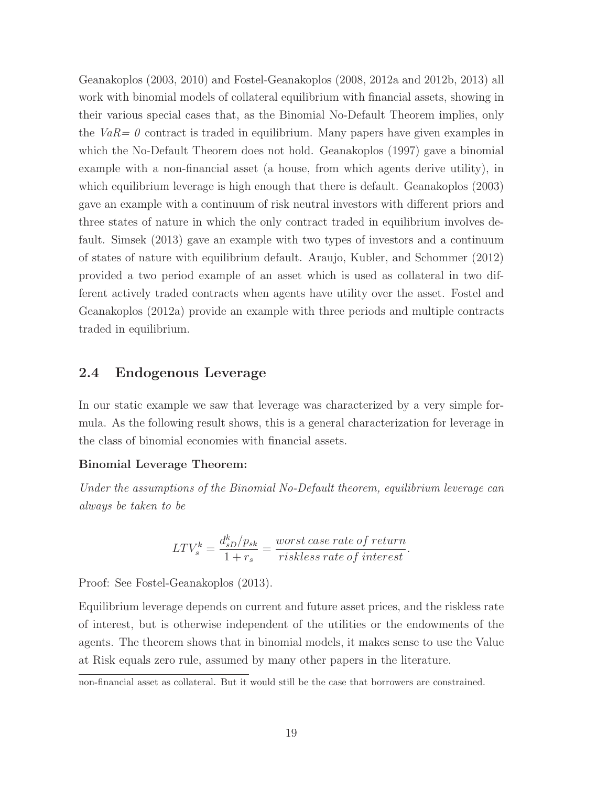Geanakoplos (2003, 2010) and Fostel-Geanakoplos (2008, 2012a and 2012b, 2013) all work with binomial models of collateral equilibrium with financial assets, showing in their various special cases that, as the Binomial No-Default Theorem implies, only the  $VaR = 0$  contract is traded in equilibrium. Many papers have given examples in which the No-Default Theorem does not hold. Geanakoplos (1997) gave a binomial example with a non-financial asset (a house, from which agents derive utility), in which equilibrium leverage is high enough that there is default. Geanakoplos (2003) gave an example with a continuum of risk neutral investors with different priors and three states of nature in which the only contract traded in equilibrium involves default. Simsek (2013) gave an example with two types of investors and a continuum of states of nature with equilibrium default. Araujo, Kubler, and Schommer (2012) provided a two period example of an asset which is used as collateral in two different actively traded contracts when agents have utility over the asset. Fostel and Geanakoplos (2012a) provide an example with three periods and multiple contracts traded in equilibrium.

### **2.4 Endogenous Leverage**

In our static example we saw that leverage was characterized by a very simple formula. As the following result shows, this is a general characterization for leverage in the class of binomial economies with financial assets.

#### **Binomial Leverage Theorem:**

Under the assumptions of the Binomial No-Default theorem, equilibrium leverage can always be taken to be

$$
LTV_s^k = \frac{d_{sD}^k / p_{sk}}{1 + r_s} = \frac{worst \; case \; rate \; of \; return}{riskless \; rate \; of \; interest}.
$$

Proof: See Fostel-Geanakoplos (2013).

Equilibrium leverage depends on current and future asset prices, and the riskless rate of interest, but is otherwise independent of the utilities or the endowments of the agents. The theorem shows that in binomial models, it makes sense to use the Value at Risk equals zero rule, assumed by many other papers in the literature.

non-financial asset as collateral. But it would still be the case that borrowers are constrained.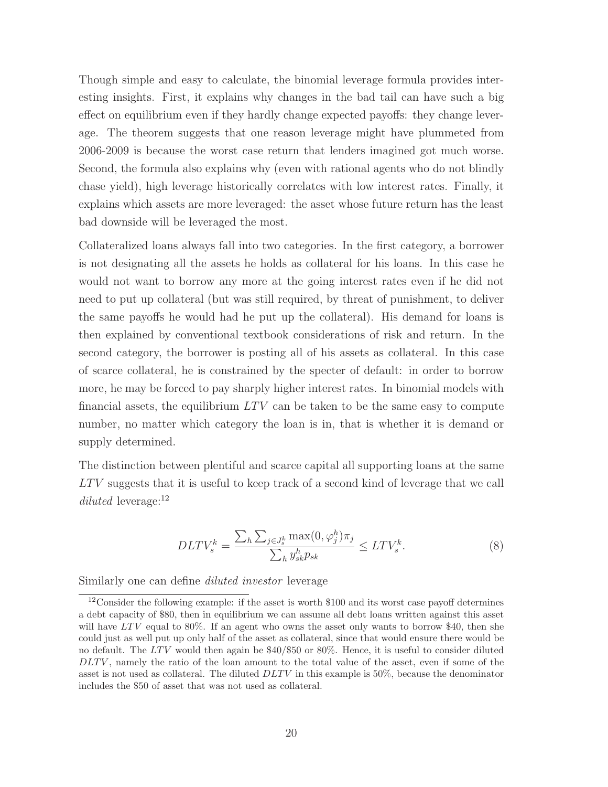Though simple and easy to calculate, the binomial leverage formula provides interesting insights. First, it explains why changes in the bad tail can have such a big effect on equilibrium even if they hardly change expected payoffs: they change leverage. The theorem suggests that one reason leverage might have plummeted from 2006-2009 is because the worst case return that lenders imagined got much worse. Second, the formula also explains why (even with rational agents who do not blindly chase yield), high leverage historically correlates with low interest rates. Finally, it explains which assets are more leveraged: the asset whose future return has the least bad downside will be leveraged the most.

Collateralized loans always fall into two categories. In the first category, a borrower is not designating all the assets he holds as collateral for his loans. In this case he would not want to borrow any more at the going interest rates even if he did not need to put up collateral (but was still required, by threat of punishment, to deliver the same payoffs he would had he put up the collateral). His demand for loans is then explained by conventional textbook considerations of risk and return. In the second category, the borrower is posting all of his assets as collateral. In this case of scarce collateral, he is constrained by the specter of default: in order to borrow more, he may be forced to pay sharply higher interest rates. In binomial models with financial assets, the equilibrium  $LTV$  can be taken to be the same easy to compute number, no matter which category the loan is in, that is whether it is demand or supply determined.

The distinction between plentiful and scarce capital all supporting loans at the same  $LTV$  suggests that it is useful to keep track of a second kind of leverage that we call diluted leverage:<sup>12</sup>

$$
DLTV_s^k = \frac{\sum_h \sum_{j \in J_s^k} \max(0, \varphi_j^h) \pi_j}{\sum_h y_{sk}^h p_{sk}} \leq LTV_s^k.
$$
 (8)

Similarly one can define diluted investor leverage

<sup>&</sup>lt;sup>12</sup>Consider the following example: if the asset is worth \$100 and its worst case payoff determines a debt capacity of \$80, then in equilibrium we can assume all debt loans written against this asset will have  $LTV$  equal to 80%. If an agent who owns the asset only wants to borrow \$40, then she could just as well put up only half of the asset as collateral, since that would ensure there would be no default. The  $LTV$  would then again be  $$40/$50$  or  $80\%$ . Hence, it is useful to consider diluted  $DLTV$ , namely the ratio of the loan amount to the total value of the asset, even if some of the asset is not used as collateral. The diluted  $DLTV$  in this example is 50%, because the denominator includes the \$50 of asset that was not used as collateral.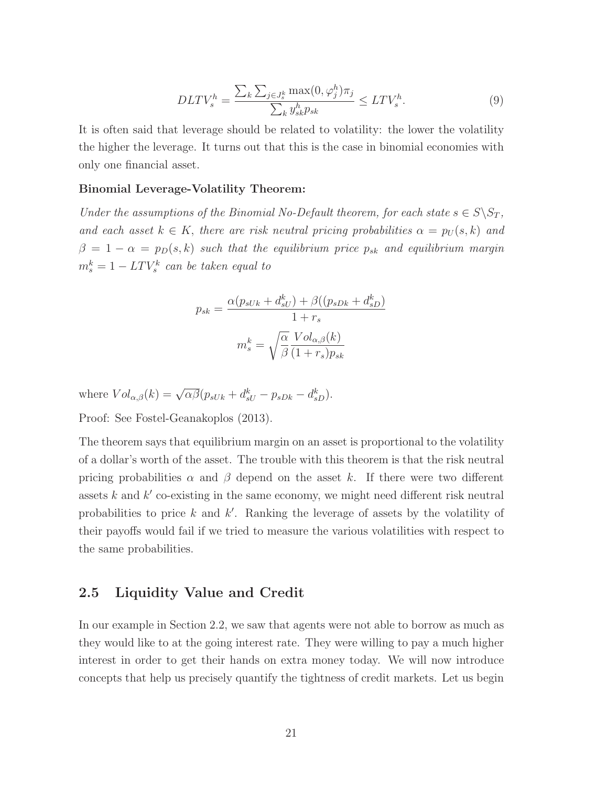$$
DLTV_s^h = \frac{\sum_k \sum_{j \in J_s^k} \max(0, \varphi_j^h) \pi_j}{\sum_k y_{sk}^h p_{sk}} \leq LTV_s^h. \tag{9}
$$

It is often said that leverage should be related to volatility: the lower the volatility the higher the leverage. It turns out that this is the case in binomial economies with only one financial asset.

#### **Binomial Leverage-Volatility Theorem:**

Under the assumptions of the Binomial No-Default theorem, for each state  $s \in S \backslash S_T$ , and each asset  $k \in K$ , there are risk neutral pricing probabilities  $\alpha = p_U(s, k)$  and  $\beta = 1 - \alpha = p_D(s, k)$  such that the equilibrium price  $p_{sk}$  and equilibrium margin  $m_s^k = 1 - LTV_s^k$  can be taken equal to

$$
p_{sk} = \frac{\alpha(p_{sUk} + d_{sU}^k) + \beta((p_{sDk} + d_{sD}^k)}{1 + r_s}
$$

$$
m_s^k = \sqrt{\frac{\alpha}{\beta}} \frac{Vol_{\alpha,\beta}(k)}{(1 + r_s)p_{sk}}
$$

where  $Vol_{\alpha,\beta}(k) = \sqrt{\alpha \beta} (p_{sUk} + d_{sU}^k - p_{sDk} - d_{sD}^k).$ Proof: See Fostel-Geanakoplos (2013).

The theorem says that equilibrium margin on an asset is proportional to the volatility of a dollar's worth of the asset. The trouble with this theorem is that the risk neutral pricing probabilities  $\alpha$  and  $\beta$  depend on the asset k. If there were two different assets  $k$  and  $k'$  co-existing in the same economy, we might need different risk neutral probabilities to price  $k$  and  $k'$ . Ranking the leverage of assets by the volatility of their payoffs would fail if we tried to measure the various volatilities with respect to the same probabilities.

### **2.5 Liquidity Value and Credit**

In our example in Section 2.2, we saw that agents were not able to borrow as much as they would like to at the going interest rate. They were willing to pay a much higher interest in order to get their hands on extra money today. We will now introduce concepts that help us precisely quantify the tightness of credit markets. Let us begin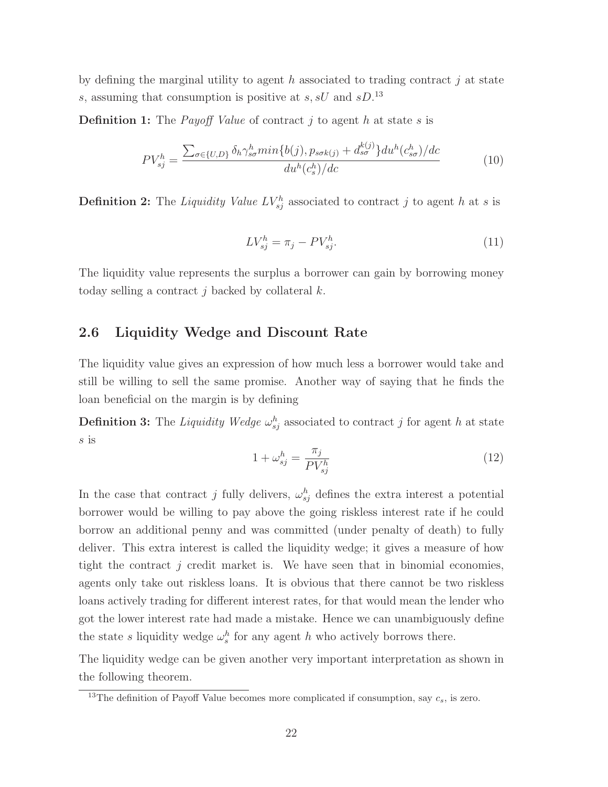by defining the marginal utility to agent  $h$  associated to trading contract  $j$  at state s, assuming that consumption is positive at  $s, sU$  and  $sD$ .<sup>13</sup>

**Definition 1:** The *Payoff Value* of contract j to agent h at state s is

$$
PV_{sj}^{h} = \frac{\sum_{\sigma \in \{U,D\}} \delta_h \gamma_{s\sigma}^h min\{b(j), p_{s\sigma k(j)} + d_{s\sigma}^{k(j)}\} du^h(c_{s\sigma}^h)/dc}{du^h(c_s^h)/dc}
$$
(10)

**Definition 2:** The *Liquidity Value*  $LV_{si}^h$  associated to contract j to agent h at s is

$$
LV_{sj}^h = \pi_j - PV_{sj}^h. \tag{11}
$$

The liquidity value represents the surplus a borrower can gain by borrowing money today selling a contract j backed by collateral  $k$ .

### **2.6 Liquidity Wedge and Discount Rate**

The liquidity value gives an expression of how much less a borrower would take and still be willing to sell the same promise. Another way of saying that he finds the loan beneficial on the margin is by defining

**Definition 3:** The *Liquidity Wedge*  $\omega_{si}^h$  associated to contract j for agent h at state s is

$$
1 + \omega_{sj}^h = \frac{\pi_j}{PV_{sj}^h} \tag{12}
$$

In the case that contract j fully delivers,  $\omega_{si}^h$  defines the extra interest a potential borrower would be willing to pay above the going riskless interest rate if he could borrow an additional penny and was committed (under penalty of death) to fully deliver. This extra interest is called the liquidity wedge; it gives a measure of how tight the contract j credit market is. We have seen that in binomial economies, agents only take out riskless loans. It is obvious that there cannot be two riskless loans actively trading for different interest rates, for that would mean the lender who got the lower interest rate had made a mistake. Hence we can unambiguously define the state s liquidity wedge  $\omega_s^h$  for any agent h who actively borrows there.

The liquidity wedge can be given another very important interpretation as shown in the following theorem.

<sup>&</sup>lt;sup>13</sup>The definition of Payoff Value becomes more complicated if consumption, say  $c_s$ , is zero.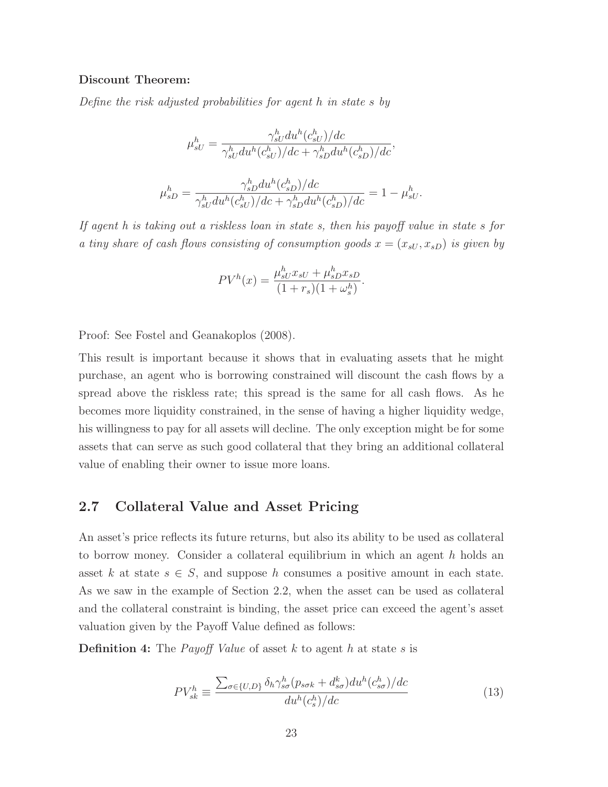#### **Discount Theorem:**

Define the risk adjusted probabilities for agent h in state s by

$$
\mu_{sU}^h = \frac{\gamma_{sU}^h du^h(c_{sU}^h)/dc}{\gamma_{sU}^h du^h(c_{sU}^h)/dc + \gamma_{sD}^h du^h(c_{sD}^h)/dc},
$$

$$
\mu_{sD}^h = \frac{\gamma_{sD}^h du^h(c_{sD}^h)/dc}{\gamma_{sU}^h du^h(c_{sU}^h)/dc + \gamma_{sD}^h du^h(c_{sD}^h)/dc} = 1 - \mu_{sU}^h.
$$

If agent h is taking out a riskless loan in state s, then his payoff value in state s for a tiny share of cash flows consisting of consumption goods  $x = (x_{sU}, x_{sD})$  is given by

$$
PV^{h}(x) = \frac{\mu_{sU}^{h} x_{sU} + \mu_{sD}^{h} x_{sD}}{(1+r_{s})(1+\omega_{s}^{h})}.
$$

Proof: See Fostel and Geanakoplos (2008).

This result is important because it shows that in evaluating assets that he might purchase, an agent who is borrowing constrained will discount the cash flows by a spread above the riskless rate; this spread is the same for all cash flows. As he becomes more liquidity constrained, in the sense of having a higher liquidity wedge, his willingness to pay for all assets will decline. The only exception might be for some assets that can serve as such good collateral that they bring an additional collateral value of enabling their owner to issue more loans.

### **2.7 Collateral Value and Asset Pricing**

An asset's price reflects its future returns, but also its ability to be used as collateral to borrow money. Consider a collateral equilibrium in which an agent h holds an asset k at state  $s \in S$ , and suppose h consumes a positive amount in each state. As we saw in the example of Section 2.2, when the asset can be used as collateral and the collateral constraint is binding, the asset price can exceed the agent's asset valuation given by the Payoff Value defined as follows:

**Definition 4:** The *Payoff Value* of asset k to agent h at state s is

$$
PV_{sk}^{h} \equiv \frac{\sum_{\sigma \in \{U, D\}} \delta_h \gamma_{s\sigma}^h (p_{s\sigma k} + d_{s\sigma}^k) du^h (c_{s\sigma}^h)/dc}{du^h (c_s^h)/dc} \tag{13}
$$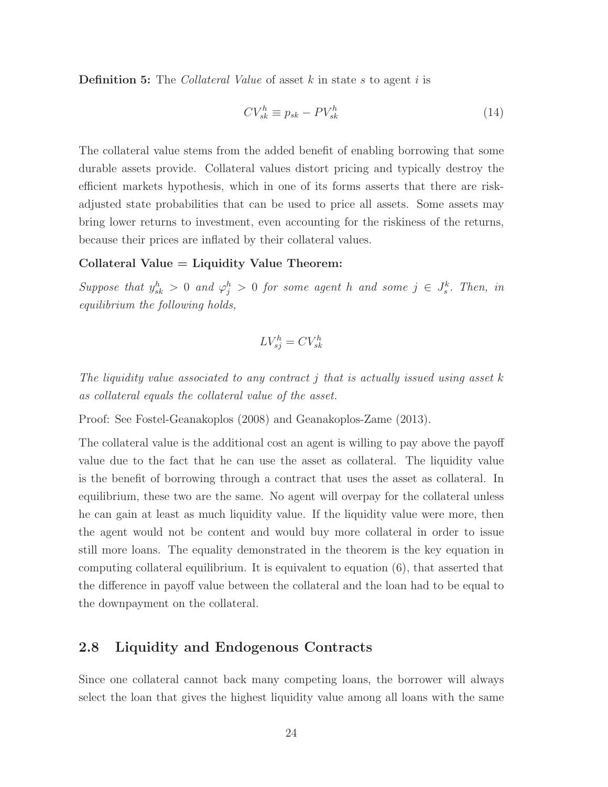**Definition 5:** The *Collateral Value* of asset k in state s to agent i is

$$
CV_{sk}^{h} \equiv p_{sk} - PV_{sk}^{h} \tag{14}
$$

The collateral value stems from the added benefit of enabling borrowing that some durable assets provide. Collateral values distort pricing and typically destroy the efficient markets hypothesis, which in one of its forms asserts that there are riskadjusted state probabilities that can be used to price all assets. Some assets may bring lower returns to investment, even accounting for the riskiness of the returns, because their prices are inflated by their collateral values.

#### **Collateral Value = Liquidity Value Theorem:**

Suppose that  $y_{sk}^h > 0$  and  $\varphi_j^h > 0$  for some agent h and some  $j \in J_s^k$ . Then, in equilibrium the following holds,

$$
LV_{si}^h = CV_{sk}^h
$$

The liquidity value associated to any contract j that is actually issued using asset  $k$ as collateral equals the collateral value of the asset.

Proof: See Fostel-Geanakoplos (2008) and Geanakoplos-Zame (2013).

The collateral value is the additional cost an agent is willing to pay above the payoff value due to the fact that he can use the asset as collateral. The liquidity value is the benefit of borrowing through a contract that uses the asset as collateral. In equilibrium, these two are the same. No agent will overpay for the collateral unless he can gain at least as much liquidity value. If the liquidity value were more, then the agent would not be content and would buy more collateral in order to issue still more loans. The equality demonstrated in the theorem is the key equation in computing collateral equilibrium. It is equivalent to equation (6), that asserted that the difference in payoff value between the collateral and the loan had to be equal to the downpayment on the collateral.

#### **2.8 Liquidity and Endogenous Contracts**

Since one collateral cannot back many competing loans, the borrower will always select the loan that gives the highest liquidity value among all loans with the same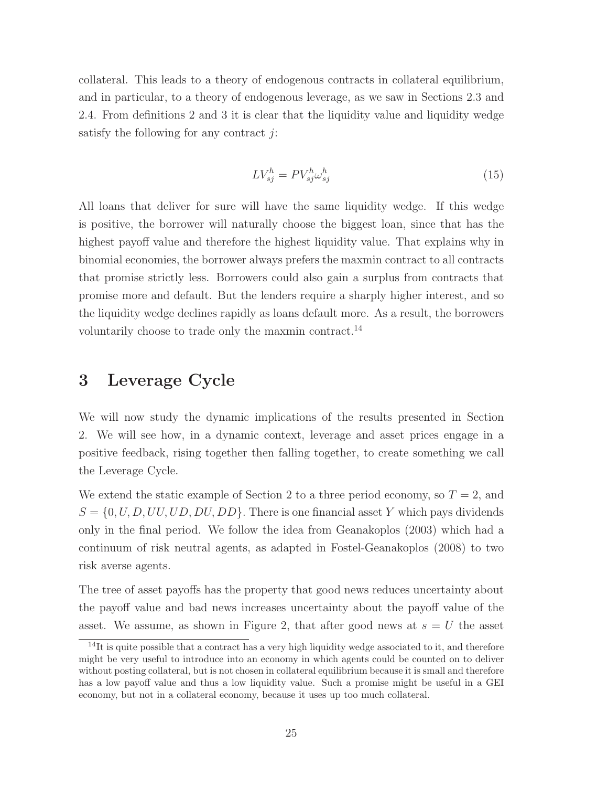collateral. This leads to a theory of endogenous contracts in collateral equilibrium, and in particular, to a theory of endogenous leverage, as we saw in Sections 2.3 and 2.4. From definitions 2 and 3 it is clear that the liquidity value and liquidity wedge satisfy the following for any contract  $\hat{j}$ :

$$
LV_{sj}^h = PV_{sj}^h \omega_{sj}^h \tag{15}
$$

All loans that deliver for sure will have the same liquidity wedge. If this wedge is positive, the borrower will naturally choose the biggest loan, since that has the highest payoff value and therefore the highest liquidity value. That explains why in binomial economies, the borrower always prefers the maxmin contract to all contracts that promise strictly less. Borrowers could also gain a surplus from contracts that promise more and default. But the lenders require a sharply higher interest, and so the liquidity wedge declines rapidly as loans default more. As a result, the borrowers voluntarily choose to trade only the maxmin contract.<sup>14</sup>

## **3 Leverage Cycle**

We will now study the dynamic implications of the results presented in Section 2. We will see how, in a dynamic context, leverage and asset prices engage in a positive feedback, rising together then falling together, to create something we call the Leverage Cycle.

We extend the static example of Section 2 to a three period economy, so  $T = 2$ , and  $S = \{0, U, D, UU, UD, DU, DD\}$ . There is one financial asset Y which pays dividends only in the final period. We follow the idea from Geanakoplos (2003) which had a continuum of risk neutral agents, as adapted in Fostel-Geanakoplos (2008) to two risk averse agents.

The tree of asset payoffs has the property that good news reduces uncertainty about the payoff value and bad news increases uncertainty about the payoff value of the asset. We assume, as shown in Figure 2, that after good news at  $s = U$  the asset

<sup>&</sup>lt;sup>14</sup>It is quite possible that a contract has a very high liquidity wedge associated to it, and therefore might be very useful to introduce into an economy in which agents could be counted on to deliver without posting collateral, but is not chosen in collateral equilibrium because it is small and therefore has a low payoff value and thus a low liquidity value. Such a promise might be useful in a GEI economy, but not in a collateral economy, because it uses up too much collateral.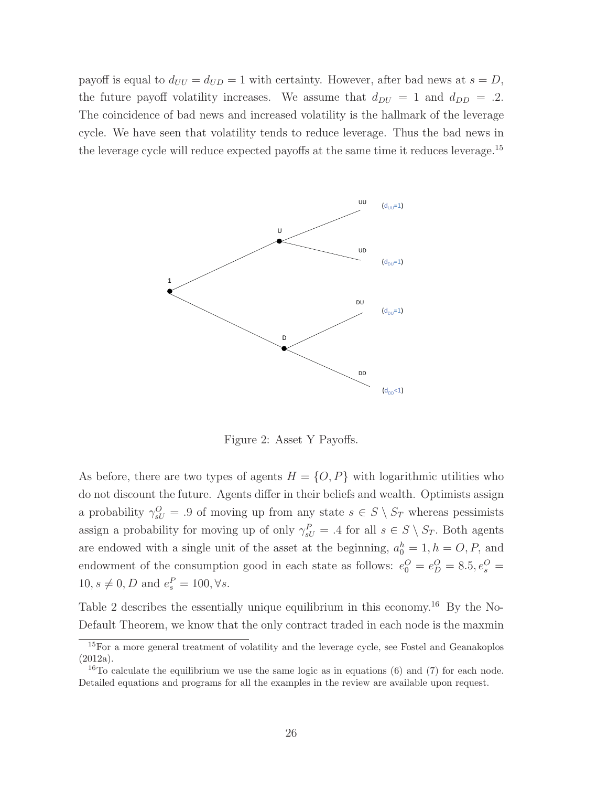payoff is equal to  $d_{UU} = d_{UD} = 1$  with certainty. However, after bad news at  $s = D$ , the future payoff volatility increases. We assume that  $d_{DU} = 1$  and  $d_{DD} = .2$ . The coincidence of bad news and increased volatility is the hallmark of the leverage cycle. We have seen that volatility tends to reduce leverage. Thus the bad news in the leverage cycle will reduce expected payoffs at the same time it reduces leverage.<sup>15</sup>



Figure 2: Asset Y Payoffs.

As before, there are two types of agents  $H = \{O, P\}$  with logarithmic utilities who do not discount the future. Agents differ in their beliefs and wealth. Optimists assign a probability  $\gamma_{sU}^O = .9$  of moving up from any state  $s \in S \setminus S_T$  whereas pessimists assign a probability for moving up of only  $\gamma_{sU}^P = .4$  for all  $s \in S \setminus S_T$ . Both agents are endowed with a single unit of the asset at the beginning,  $a_0^h = 1, h = 0, P$ , and endowment of the consumption good in each state as follows:  $e_0^O = e_D^O = 8.5, e_s^O =$  $10, s \neq 0, D$  and  $e_s^P = 100, \forall s$ .

Table 2 describes the essentially unique equilibrium in this economy.<sup>16</sup> By the No-Default Theorem, we know that the only contract traded in each node is the maxmin

<sup>&</sup>lt;sup>15</sup>For a more general treatment of volatility and the leverage cycle, see Fostel and Geanakoplos (2012a).

<sup>&</sup>lt;sup>16</sup>To calculate the equilibrium we use the same logic as in equations (6) and (7) for each node. Detailed equations and programs for all the examples in the review are available upon request.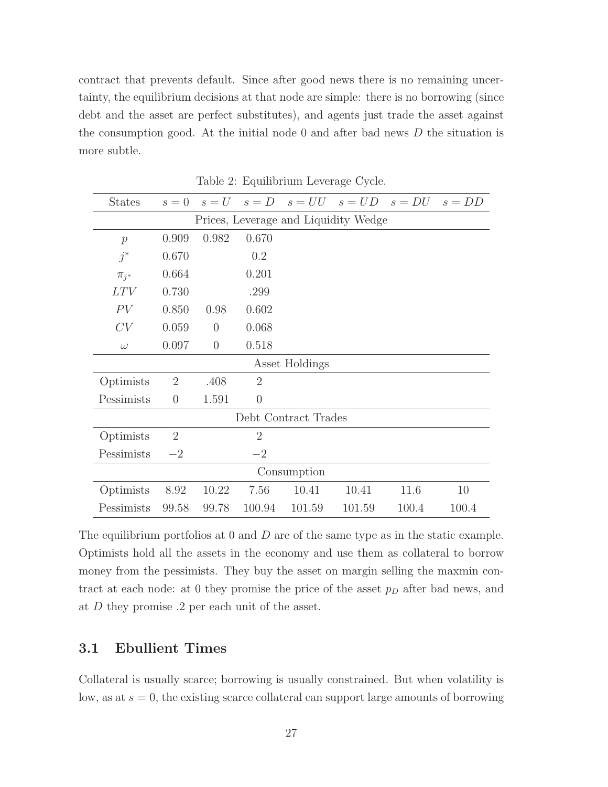contract that prevents default. Since after good news there is no remaining uncertainty, the equilibrium decisions at that node are simple: there is no borrowing (since debt and the asset are perfect substitutes), and agents just trade the asset against the consumption good. At the initial node 0 and after bad news D the situation is more subtle.

| <b>States</b>                        | $s=0$          | $s=U$          |                |                      | $s = D$ $s = UU$ $s = UD$ | $s = D U$ | $s = DD$ |  |  |
|--------------------------------------|----------------|----------------|----------------|----------------------|---------------------------|-----------|----------|--|--|
| Prices, Leverage and Liquidity Wedge |                |                |                |                      |                           |           |          |  |  |
| $\overline{p}$                       | 0.909          | 0.982          | 0.670          |                      |                           |           |          |  |  |
| $j^*$                                | 0.670          |                | 0.2            |                      |                           |           |          |  |  |
| $\pi_{i^*}$                          | 0.664          |                | 0.201          |                      |                           |           |          |  |  |
| LTV                                  | 0.730          |                | .299           |                      |                           |           |          |  |  |
| PV                                   | 0.850          | 0.98           | 0.602          |                      |                           |           |          |  |  |
| CV                                   | 0.059          | $\overline{0}$ | 0.068          |                      |                           |           |          |  |  |
| $\omega$                             | 0.097          | $\theta$       | 0.518          |                      |                           |           |          |  |  |
|                                      |                |                |                | Asset Holdings       |                           |           |          |  |  |
| Optimists                            | $\overline{2}$ | .408           | $\overline{2}$ |                      |                           |           |          |  |  |
| Pessimists                           | $\overline{0}$ | 1.591          | $\overline{0}$ |                      |                           |           |          |  |  |
|                                      |                |                |                | Debt Contract Trades |                           |           |          |  |  |
| Optimists                            | $\overline{2}$ |                | $\overline{2}$ |                      |                           |           |          |  |  |
| Pessimists                           | $-2$           |                | $-2$           |                      |                           |           |          |  |  |
|                                      |                |                |                | Consumption          |                           |           |          |  |  |
| Optimists                            | 8.92           | 10.22          | 7.56           | 10.41                | 10.41                     | 11.6      | 10       |  |  |
| Pessimists                           | 99.58          | 99.78          | 100.94         | 101.59               | 101.59                    | 100.4     | 100.4    |  |  |

Table 2: Equilibrium Leverage Cycle.

The equilibrium portfolios at  $0$  and  $D$  are of the same type as in the static example. Optimists hold all the assets in the economy and use them as collateral to borrow money from the pessimists. They buy the asset on margin selling the maxmin contract at each node: at 0 they promise the price of the asset  $p<sub>D</sub>$  after bad news, and at D they promise .2 per each unit of the asset.

### **3.1 Ebullient Times**

Collateral is usually scarce; borrowing is usually constrained. But when volatility is low, as at  $s = 0$ , the existing scarce collateral can support large amounts of borrowing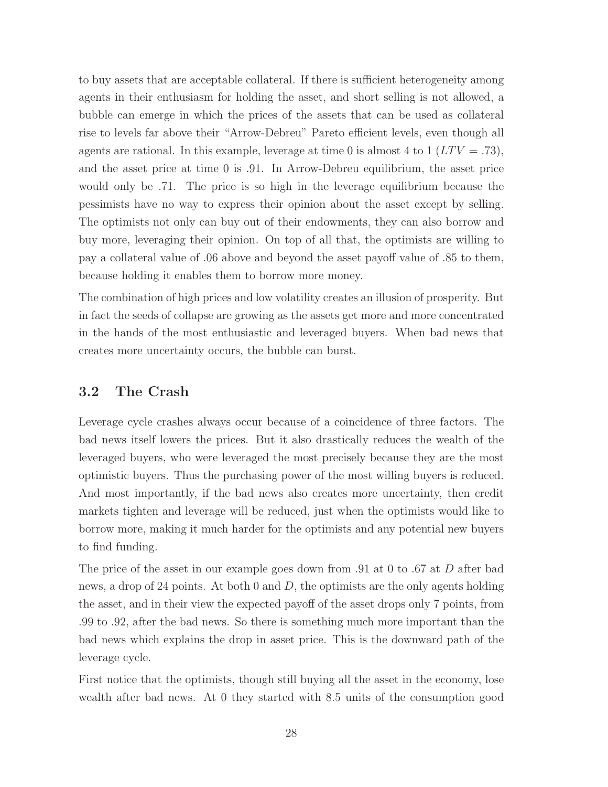to buy assets that are acceptable collateral. If there is sufficient heterogeneity among agents in their enthusiasm for holding the asset, and short selling is not allowed, a bubble can emerge in which the prices of the assets that can be used as collateral rise to levels far above their "Arrow-Debreu" Pareto efficient levels, even though all agents are rational. In this example, leverage at time 0 is almost 4 to 1 ( $LTV = .73$ ), and the asset price at time 0 is .91. In Arrow-Debreu equilibrium, the asset price would only be .71. The price is so high in the leverage equilibrium because the pessimists have no way to express their opinion about the asset except by selling. The optimists not only can buy out of their endowments, they can also borrow and buy more, leveraging their opinion. On top of all that, the optimists are willing to pay a collateral value of .06 above and beyond the asset payoff value of .85 to them, because holding it enables them to borrow more money.

The combination of high prices and low volatility creates an illusion of prosperity. But in fact the seeds of collapse are growing as the assets get more and more concentrated in the hands of the most enthusiastic and leveraged buyers. When bad news that creates more uncertainty occurs, the bubble can burst.

### **3.2 The Crash**

Leverage cycle crashes always occur because of a coincidence of three factors. The bad news itself lowers the prices. But it also drastically reduces the wealth of the leveraged buyers, who were leveraged the most precisely because they are the most optimistic buyers. Thus the purchasing power of the most willing buyers is reduced. And most importantly, if the bad news also creates more uncertainty, then credit markets tighten and leverage will be reduced, just when the optimists would like to borrow more, making it much harder for the optimists and any potential new buyers to find funding.

The price of the asset in our example goes down from .91 at 0 to .67 at D after bad news, a drop of 24 points. At both 0 and  $D$ , the optimists are the only agents holding the asset, and in their view the expected payoff of the asset drops only 7 points, from .99 to .92, after the bad news. So there is something much more important than the bad news which explains the drop in asset price. This is the downward path of the leverage cycle.

First notice that the optimists, though still buying all the asset in the economy, lose wealth after bad news. At 0 they started with 8.5 units of the consumption good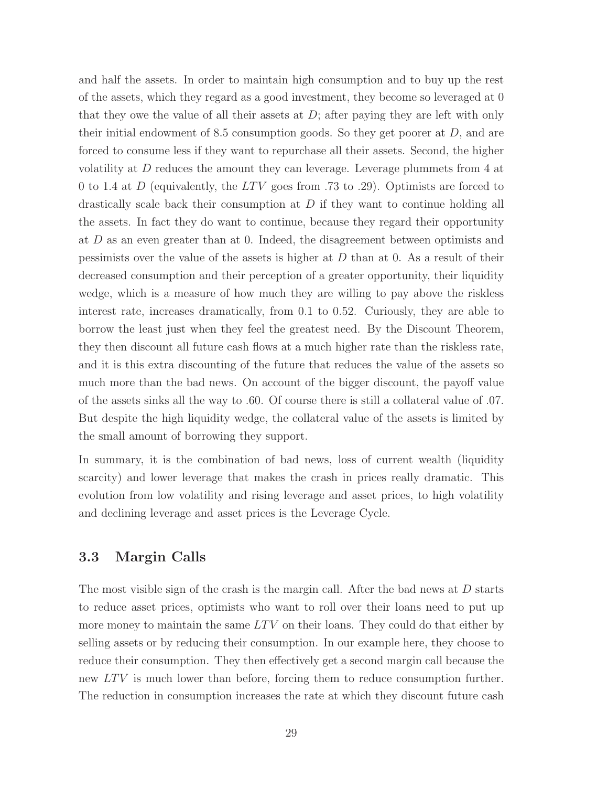and half the assets. In order to maintain high consumption and to buy up the rest of the assets, which they regard as a good investment, they become so leveraged at 0 that they owe the value of all their assets at  $D$ ; after paying they are left with only their initial endowment of 8.5 consumption goods. So they get poorer at  $D$ , and are forced to consume less if they want to repurchase all their assets. Second, the higher volatility at D reduces the amount they can leverage. Leverage plummets from 4 at 0 to 1.4 at D (equivalently, the LTV goes from .73 to .29). Optimists are forced to drastically scale back their consumption at  $D$  if they want to continue holding all the assets. In fact they do want to continue, because they regard their opportunity at D as an even greater than at 0. Indeed, the disagreement between optimists and pessimists over the value of the assets is higher at  $D$  than at 0. As a result of their decreased consumption and their perception of a greater opportunity, their liquidity wedge, which is a measure of how much they are willing to pay above the riskless interest rate, increases dramatically, from 0.1 to 0.52. Curiously, they are able to borrow the least just when they feel the greatest need. By the Discount Theorem, they then discount all future cash flows at a much higher rate than the riskless rate, and it is this extra discounting of the future that reduces the value of the assets so much more than the bad news. On account of the bigger discount, the payoff value of the assets sinks all the way to .60. Of course there is still a collateral value of .07. But despite the high liquidity wedge, the collateral value of the assets is limited by the small amount of borrowing they support.

In summary, it is the combination of bad news, loss of current wealth (liquidity scarcity) and lower leverage that makes the crash in prices really dramatic. This evolution from low volatility and rising leverage and asset prices, to high volatility and declining leverage and asset prices is the Leverage Cycle.

### **3.3 Margin Calls**

The most visible sign of the crash is the margin call. After the bad news at D starts to reduce asset prices, optimists who want to roll over their loans need to put up more money to maintain the same  $LTV$  on their loans. They could do that either by selling assets or by reducing their consumption. In our example here, they choose to reduce their consumption. They then effectively get a second margin call because the new  $LTV$  is much lower than before, forcing them to reduce consumption further. The reduction in consumption increases the rate at which they discount future cash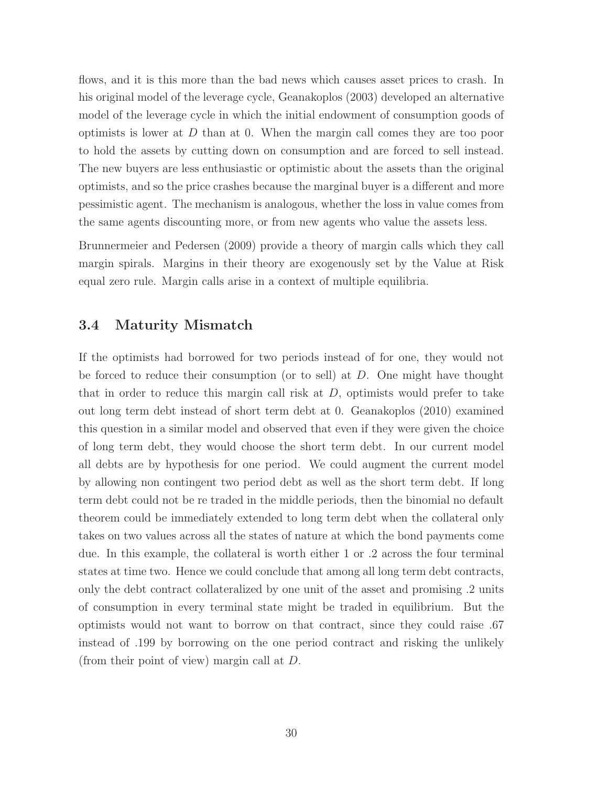flows, and it is this more than the bad news which causes asset prices to crash. In his original model of the leverage cycle, Geanakoplos (2003) developed an alternative model of the leverage cycle in which the initial endowment of consumption goods of optimists is lower at  $D$  than at 0. When the margin call comes they are too poor to hold the assets by cutting down on consumption and are forced to sell instead. The new buyers are less enthusiastic or optimistic about the assets than the original optimists, and so the price crashes because the marginal buyer is a different and more pessimistic agent. The mechanism is analogous, whether the loss in value comes from the same agents discounting more, or from new agents who value the assets less.

Brunnermeier and Pedersen (2009) provide a theory of margin calls which they call margin spirals. Margins in their theory are exogenously set by the Value at Risk equal zero rule. Margin calls arise in a context of multiple equilibria.

### **3.4 Maturity Mismatch**

If the optimists had borrowed for two periods instead of for one, they would not be forced to reduce their consumption (or to sell) at D. One might have thought that in order to reduce this margin call risk at  $D$ , optimists would prefer to take out long term debt instead of short term debt at 0. Geanakoplos (2010) examined this question in a similar model and observed that even if they were given the choice of long term debt, they would choose the short term debt. In our current model all debts are by hypothesis for one period. We could augment the current model by allowing non contingent two period debt as well as the short term debt. If long term debt could not be re traded in the middle periods, then the binomial no default theorem could be immediately extended to long term debt when the collateral only takes on two values across all the states of nature at which the bond payments come due. In this example, the collateral is worth either 1 or .2 across the four terminal states at time two. Hence we could conclude that among all long term debt contracts, only the debt contract collateralized by one unit of the asset and promising .2 units of consumption in every terminal state might be traded in equilibrium. But the optimists would not want to borrow on that contract, since they could raise .67 instead of .199 by borrowing on the one period contract and risking the unlikely (from their point of view) margin call at D.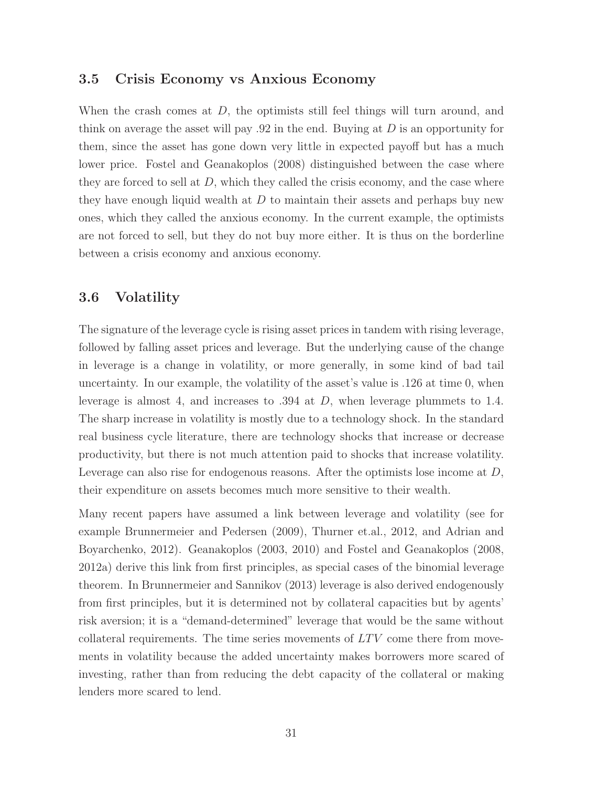### **3.5 Crisis Economy vs Anxious Economy**

When the crash comes at  $D$ , the optimists still feel things will turn around, and think on average the asset will pay  $.92$  in the end. Buying at D is an opportunity for them, since the asset has gone down very little in expected payoff but has a much lower price. Fostel and Geanakoplos (2008) distinguished between the case where they are forced to sell at  $D$ , which they called the crisis economy, and the case where they have enough liquid wealth at  $D$  to maintain their assets and perhaps buy new ones, which they called the anxious economy. In the current example, the optimists are not forced to sell, but they do not buy more either. It is thus on the borderline between a crisis economy and anxious economy.

### **3.6 Volatility**

The signature of the leverage cycle is rising asset prices in tandem with rising leverage, followed by falling asset prices and leverage. But the underlying cause of the change in leverage is a change in volatility, or more generally, in some kind of bad tail uncertainty. In our example, the volatility of the asset's value is .126 at time 0, when leverage is almost 4, and increases to .394 at D, when leverage plummets to 1.4. The sharp increase in volatility is mostly due to a technology shock. In the standard real business cycle literature, there are technology shocks that increase or decrease productivity, but there is not much attention paid to shocks that increase volatility. Leverage can also rise for endogenous reasons. After the optimists lose income at D, their expenditure on assets becomes much more sensitive to their wealth.

Many recent papers have assumed a link between leverage and volatility (see for example Brunnermeier and Pedersen (2009), Thurner et.al., 2012, and Adrian and Boyarchenko, 2012). Geanakoplos (2003, 2010) and Fostel and Geanakoplos (2008, 2012a) derive this link from first principles, as special cases of the binomial leverage theorem. In Brunnermeier and Sannikov (2013) leverage is also derived endogenously from first principles, but it is determined not by collateral capacities but by agents' risk aversion; it is a "demand-determined" leverage that would be the same without collateral requirements. The time series movements of  $LTV$  come there from movements in volatility because the added uncertainty makes borrowers more scared of investing, rather than from reducing the debt capacity of the collateral or making lenders more scared to lend.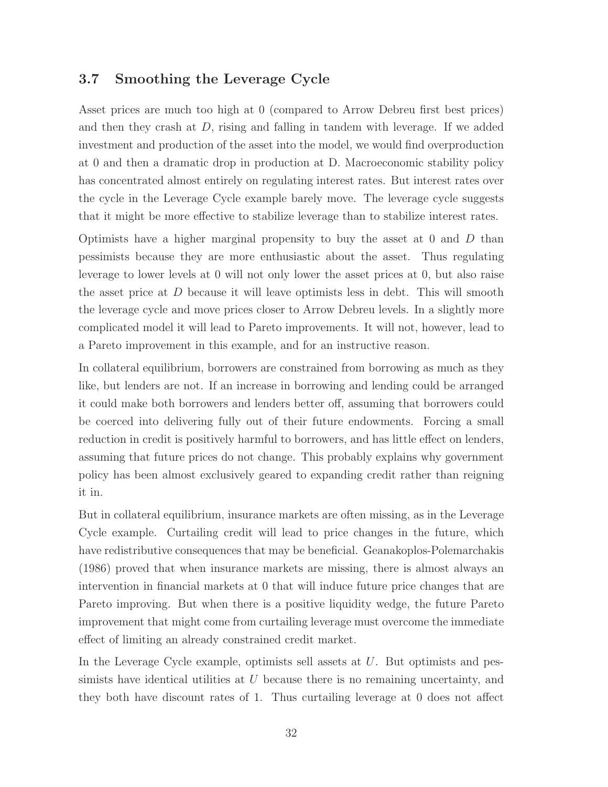### **3.7 Smoothing the Leverage Cycle**

Asset prices are much too high at 0 (compared to Arrow Debreu first best prices) and then they crash at  $D$ , rising and falling in tandem with leverage. If we added investment and production of the asset into the model, we would find overproduction at 0 and then a dramatic drop in production at D. Macroeconomic stability policy has concentrated almost entirely on regulating interest rates. But interest rates over the cycle in the Leverage Cycle example barely move. The leverage cycle suggests that it might be more effective to stabilize leverage than to stabilize interest rates.

Optimists have a higher marginal propensity to buy the asset at 0 and  $D$  than pessimists because they are more enthusiastic about the asset. Thus regulating leverage to lower levels at 0 will not only lower the asset prices at 0, but also raise the asset price at D because it will leave optimists less in debt. This will smooth the leverage cycle and move prices closer to Arrow Debreu levels. In a slightly more complicated model it will lead to Pareto improvements. It will not, however, lead to a Pareto improvement in this example, and for an instructive reason.

In collateral equilibrium, borrowers are constrained from borrowing as much as they like, but lenders are not. If an increase in borrowing and lending could be arranged it could make both borrowers and lenders better off, assuming that borrowers could be coerced into delivering fully out of their future endowments. Forcing a small reduction in credit is positively harmful to borrowers, and has little effect on lenders, assuming that future prices do not change. This probably explains why government policy has been almost exclusively geared to expanding credit rather than reigning it in.

But in collateral equilibrium, insurance markets are often missing, as in the Leverage Cycle example. Curtailing credit will lead to price changes in the future, which have redistributive consequences that may be beneficial. Geanakoplos-Polemarchakis (1986) proved that when insurance markets are missing, there is almost always an intervention in financial markets at 0 that will induce future price changes that are Pareto improving. But when there is a positive liquidity wedge, the future Pareto improvement that might come from curtailing leverage must overcome the immediate effect of limiting an already constrained credit market.

In the Leverage Cycle example, optimists sell assets at  $U$ . But optimists and pessimists have identical utilities at  $U$  because there is no remaining uncertainty, and they both have discount rates of 1. Thus curtailing leverage at 0 does not affect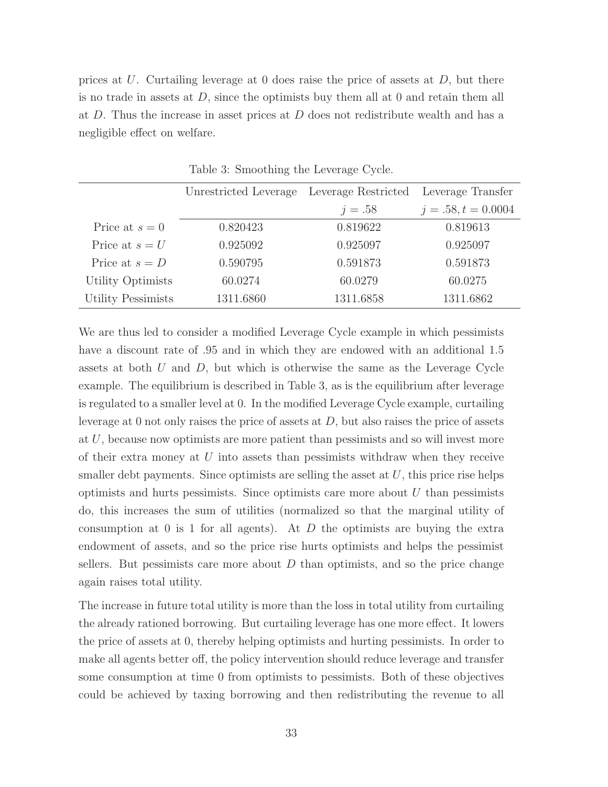prices at U. Curtailing leverage at 0 does raise the price of assets at  $D$ , but there is no trade in assets at  $D$ , since the optimists buy them all at 0 and retain them all at D. Thus the increase in asset prices at D does not redistribute wealth and has a negligible effect on welfare.

|                           | Unrestricted Leverage Leverage Restricted Leverage Transfer |           |                   |
|---------------------------|-------------------------------------------------------------|-----------|-------------------|
|                           |                                                             | $j=.58$   | $j=.58, t=0.0004$ |
| Price at $s=0$            | 0.820423                                                    | 0.819622  | 0.819613          |
| Price at $s = U$          | 0.925092                                                    | 0.925097  | 0.925097          |
| Price at $s = D$          | 0.590795                                                    | 0.591873  | 0.591873          |
| Utility Optimists         | 60.0274                                                     | 60.0279   | 60.0275           |
| <b>Utility Pessimists</b> | 1311.6860                                                   | 1311.6858 | 1311.6862         |

Table 3: Smoothing the Leverage Cycle.

We are thus led to consider a modified Leverage Cycle example in which pessimists have a discount rate of .95 and in which they are endowed with an additional 1.5 assets at both  $U$  and  $D$ , but which is otherwise the same as the Leverage Cycle example. The equilibrium is described in Table 3, as is the equilibrium after leverage is regulated to a smaller level at 0. In the modified Leverage Cycle example, curtailing leverage at 0 not only raises the price of assets at  $D$ , but also raises the price of assets at U, because now optimists are more patient than pessimists and so will invest more of their extra money at U into assets than pessimists withdraw when they receive smaller debt payments. Since optimists are selling the asset at  $U$ , this price rise helps optimists and hurts pessimists. Since optimists care more about  $U$  than pessimists do, this increases the sum of utilities (normalized so that the marginal utility of consumption at 0 is 1 for all agents). At  $D$  the optimists are buying the extra endowment of assets, and so the price rise hurts optimists and helps the pessimist sellers. But pessimists care more about  $D$  than optimists, and so the price change again raises total utility.

The increase in future total utility is more than the loss in total utility from curtailing the already rationed borrowing. But curtailing leverage has one more effect. It lowers the price of assets at 0, thereby helping optimists and hurting pessimists. In order to make all agents better off, the policy intervention should reduce leverage and transfer some consumption at time 0 from optimists to pessimists. Both of these objectives could be achieved by taxing borrowing and then redistributing the revenue to all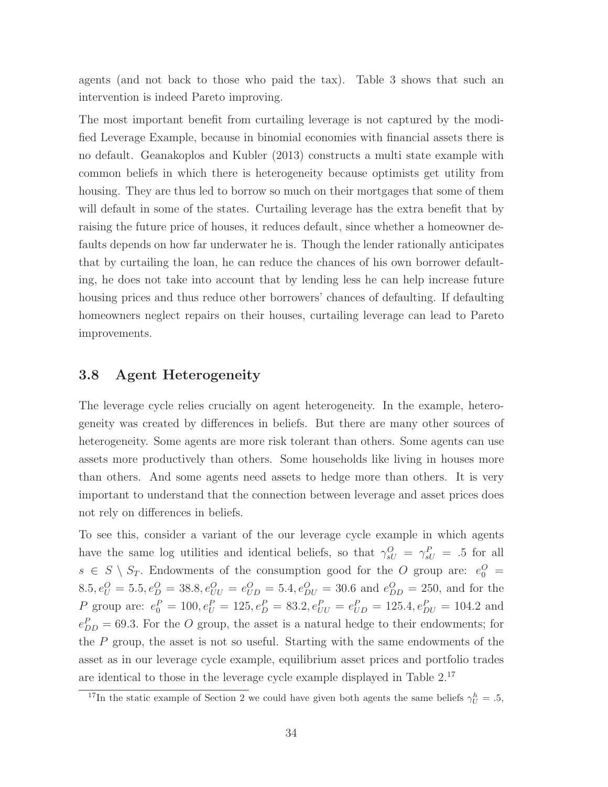agents (and not back to those who paid the tax). Table 3 shows that such an intervention is indeed Pareto improving.

The most important benefit from curtailing leverage is not captured by the modified Leverage Example, because in binomial economies with financial assets there is no default. Geanakoplos and Kubler (2013) constructs a multi state example with common beliefs in which there is heterogeneity because optimists get utility from housing. They are thus led to borrow so much on their mortgages that some of them will default in some of the states. Curtailing leverage has the extra benefit that by raising the future price of houses, it reduces default, since whether a homeowner defaults depends on how far underwater he is. Though the lender rationally anticipates that by curtailing the loan, he can reduce the chances of his own borrower defaulting, he does not take into account that by lending less he can help increase future housing prices and thus reduce other borrowers' chances of defaulting. If defaulting homeowners neglect repairs on their houses, curtailing leverage can lead to Pareto improvements.

### **3.8 Agent Heterogeneity**

The leverage cycle relies crucially on agent heterogeneity. In the example, heterogeneity was created by differences in beliefs. But there are many other sources of heterogeneity. Some agents are more risk tolerant than others. Some agents can use assets more productively than others. Some households like living in houses more than others. And some agents need assets to hedge more than others. It is very important to understand that the connection between leverage and asset prices does not rely on differences in beliefs.

To see this, consider a variant of the our leverage cycle example in which agents have the same log utilities and identical beliefs, so that  $\gamma_{sU}^O = \gamma_{sU}^P = .5$  for all  $s \in S \setminus S_T$ . Endowments of the consumption good for the O group are:  $e_0^O =$  $8.5, e_U^O = 5.5, e_D^O = 38.8, e_{UU}^O = e_{UD}^O = 5.4, e_{DU}^O = 30.6$  and  $e_{DD}^O = 250$ , and for the P group are:  $e_0^P = 100, e_U^P = 125, e_D^P = 83.2, e_{UU}^P = e_{UD}^P = 125.4, e_{DU}^P = 104.2$  and  $e_{DD}^P = 69.3$ . For the O group, the asset is a natural hedge to their endowments; for the  $P$  group, the asset is not so useful. Starting with the same endowments of the asset as in our leverage cycle example, equilibrium asset prices and portfolio trades are identical to those in the leverage cycle example displayed in Table 2.<sup>17</sup>

<sup>&</sup>lt;sup>17</sup>In the static example of Section 2 we could have given both agents the same beliefs  $\gamma_U^h = .5$ ,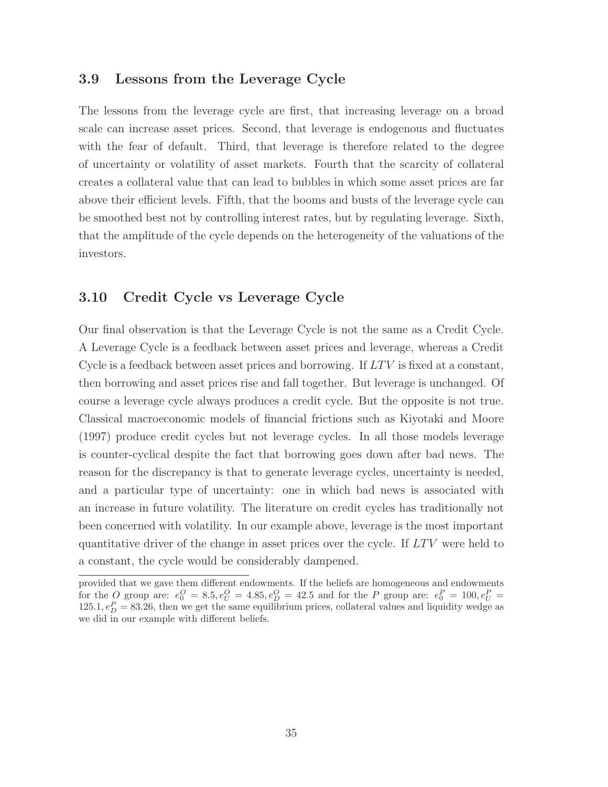### **3.9 Lessons from the Leverage Cycle**

The lessons from the leverage cycle are first, that increasing leverage on a broad scale can increase asset prices. Second, that leverage is endogenous and fluctuates with the fear of default. Third, that leverage is therefore related to the degree of uncertainty or volatility of asset markets. Fourth that the scarcity of collateral creates a collateral value that can lead to bubbles in which some asset prices are far above their efficient levels. Fifth, that the booms and busts of the leverage cycle can be smoothed best not by controlling interest rates, but by regulating leverage. Sixth, that the amplitude of the cycle depends on the heterogeneity of the valuations of the investors.

### **3.10 Credit Cycle vs Leverage Cycle**

Our final observation is that the Leverage Cycle is not the same as a Credit Cycle. A Leverage Cycle is a feedback between asset prices and leverage, whereas a Credit Cycle is a feedback between asset prices and borrowing. If  $LTV$  is fixed at a constant, then borrowing and asset prices rise and fall together. But leverage is unchanged. Of course a leverage cycle always produces a credit cycle. But the opposite is not true. Classical macroeconomic models of financial frictions such as Kiyotaki and Moore (1997) produce credit cycles but not leverage cycles. In all those models leverage is counter-cyclical despite the fact that borrowing goes down after bad news. The reason for the discrepancy is that to generate leverage cycles, uncertainty is needed, and a particular type of uncertainty: one in which bad news is associated with an increase in future volatility. The literature on credit cycles has traditionally not been concerned with volatility. In our example above, leverage is the most important quantitative driver of the change in asset prices over the cycle. If  $LTV$  were held to a constant, the cycle would be considerably dampened.

provided that we gave them different endowments. If the beliefs are homogeneous and endowments for the O group are:  $e_0^O = 8.5, e_U^O = 4.85, e_D^O = 42.5$  and for the P group are:  $e_0^P = 100, e_U^P = 100$  $125.1, e_D^P = 83.26$ , then we get the same equilibrium prices, collateral values and liquidity wedge as we did in our example with different beliefs.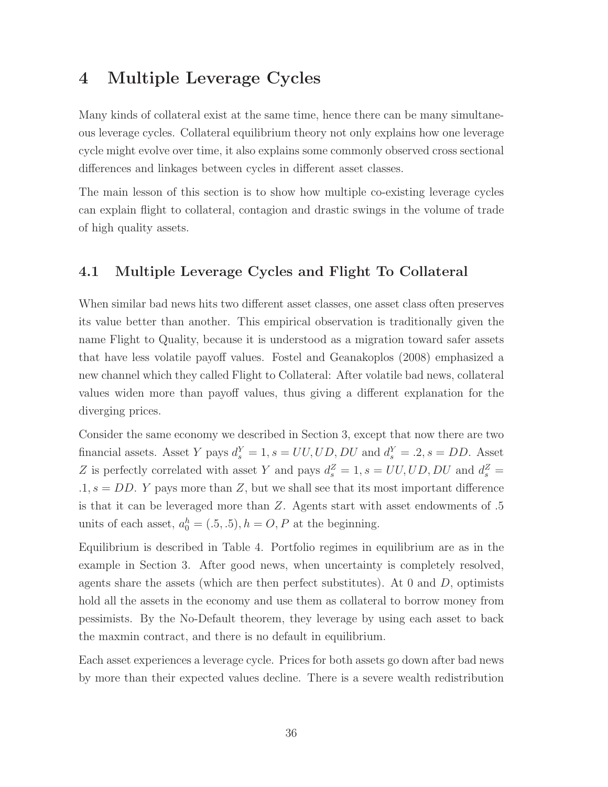## **4 Multiple Leverage Cycles**

Many kinds of collateral exist at the same time, hence there can be many simultaneous leverage cycles. Collateral equilibrium theory not only explains how one leverage cycle might evolve over time, it also explains some commonly observed cross sectional differences and linkages between cycles in different asset classes.

The main lesson of this section is to show how multiple co-existing leverage cycles can explain flight to collateral, contagion and drastic swings in the volume of trade of high quality assets.

### **4.1 Multiple Leverage Cycles and Flight To Collateral**

When similar bad news hits two different asset classes, one asset class often preserves its value better than another. This empirical observation is traditionally given the name Flight to Quality, because it is understood as a migration toward safer assets that have less volatile payoff values. Fostel and Geanakoplos (2008) emphasized a new channel which they called Flight to Collateral: After volatile bad news, collateral values widen more than payoff values, thus giving a different explanation for the diverging prices.

Consider the same economy we described in Section 3, except that now there are two financial assets. Asset Y pays  $d_s^Y = 1$ ,  $s = UU, UD, DU$  and  $d_s^Y = .2$ ,  $s = DD$ . Asset Z is perfectly correlated with asset Y and pays  $d_s^Z = 1$ ,  $s = UU, UD, DU$  and  $d_s^Z =$  $.1, s = DD$ . Y pays more than Z, but we shall see that its most important difference is that it can be leveraged more than Z. Agents start with asset endowments of .5 units of each asset,  $a_0^h = (.5, .5), h = O, P$  at the beginning.

Equilibrium is described in Table 4. Portfolio regimes in equilibrium are as in the example in Section 3. After good news, when uncertainty is completely resolved, agents share the assets (which are then perfect substitutes). At  $0$  and  $D$ , optimists hold all the assets in the economy and use them as collateral to borrow money from pessimists. By the No-Default theorem, they leverage by using each asset to back the maxmin contract, and there is no default in equilibrium.

Each asset experiences a leverage cycle. Prices for both assets go down after bad news by more than their expected values decline. There is a severe wealth redistribution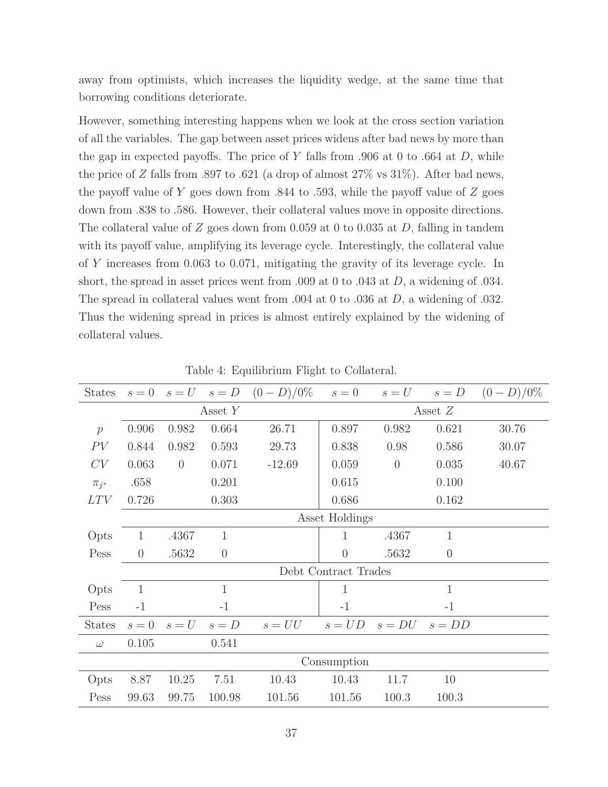away from optimists, which increases the liquidity wedge, at the same time that borrowing conditions deteriorate.

However, something interesting happens when we look at the cross section variation of all the variables. The gap between asset prices widens after bad news by more than the gap in expected payoffs. The price of Y falls from .906 at 0 to .664 at  $D$ , while the price of Z falls from .897 to .621 (a drop of almost  $27\%$  vs  $31\%$ ). After bad news, the payoff value of Y goes down from  $.844$  to  $.593$ , while the payoff value of Z goes down from .838 to .586. However, their collateral values move in opposite directions. The collateral value of  $Z$  goes down from 0.059 at 0 to 0.035 at  $D$ , falling in tandem with its payoff value, amplifying its leverage cycle. Interestingly, the collateral value of Y increases from 0.063 to 0.071, mitigating the gravity of its leverage cycle. In short, the spread in asset prices went from .009 at 0 to .043 at  $D$ , a widening of .034. The spread in collateral values went from .004 at 0 to .036 at D, a widening of .032. Thus the widening spread in prices is almost entirely explained by the widening of collateral values.

| <b>States</b> |                |                |              | $s = 0$ $s = U$ $s = D$ $(0 - D)/0\%$ $s = 0$ |                      |                                    | $s = U$ $s = D$ | $(0-D)/0\%$ |
|---------------|----------------|----------------|--------------|-----------------------------------------------|----------------------|------------------------------------|-----------------|-------------|
|               |                |                | Asset $Y$    |                                               | Asset $Z$            |                                    |                 |             |
| $\mathcal{P}$ | 0.906          | 0.982          | 0.664        | 26.71                                         | 0.897                | 0.982                              | 0.621           | 30.76       |
| PV            | 0.844          | 0.982          | 0.593        | 29.73                                         | 0.838                | 0.98                               | 0.586           | 30.07       |
| CV            | 0.063          | $\overline{0}$ | 0.071        | $-12.69$                                      | 0.059                | $\overline{0}$                     | 0.035           | 40.67       |
| $\pi_{i^*}$   | .658           |                | 0.201        |                                               | 0.615                |                                    | 0.100           |             |
| LTV           | 0.726          |                | 0.303        |                                               | 0.686                |                                    | 0.162           |             |
|               | Asset Holdings |                |              |                                               |                      |                                    |                 |             |
| Opts          | $\mathbf{1}$   | .4367          | $\mathbf{1}$ |                                               | 1                    | .4367                              | 1               |             |
| Pess          | $\overline{0}$ | .5632          | $\theta$     |                                               | $\overline{0}$       | .5632                              | $\theta$        |             |
|               |                |                |              |                                               | Debt Contract Trades |                                    |                 |             |
| Opts          | $\mathbf{1}$   |                | 1            |                                               | $\mathbf{1}$         |                                    | 1               |             |
| Pess          | $-1$           |                | $-1$         |                                               | $-1$                 |                                    | $-1$            |             |
| <b>States</b> |                | $s=0$ $s=U$    | $s = D$      | $s=UU$                                        |                      | $s = UD \quad s = DU \quad s = DD$ |                 |             |
| $\omega$      | 0.105          |                | 0.541        |                                               |                      |                                    |                 |             |
|               |                |                |              |                                               | Consumption          |                                    |                 |             |
| Opts          | 8.87           | 10.25          | 7.51         | 10.43                                         | 10.43                | 11.7                               | 10              |             |
| Pess          | 99.63          | 99.75          | 100.98       | 101.56                                        | 101.56               | 100.3                              | 100.3           |             |

Table 4: Equilibrium Flight to Collateral.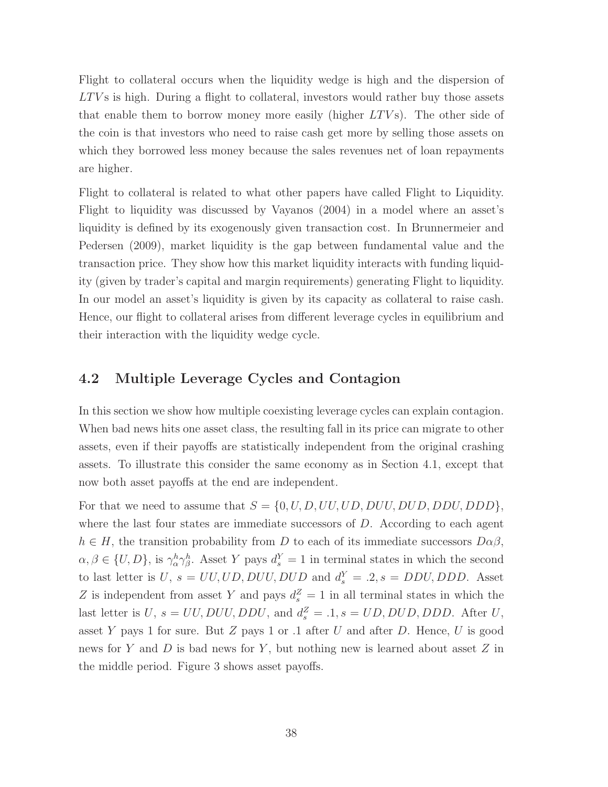Flight to collateral occurs when the liquidity wedge is high and the dispersion of  $LTVs$  is high. During a flight to collateral, investors would rather buy those assets that enable them to borrow money more easily (higher  $LTVs$ ). The other side of the coin is that investors who need to raise cash get more by selling those assets on which they borrowed less money because the sales revenues net of loan repayments are higher.

Flight to collateral is related to what other papers have called Flight to Liquidity. Flight to liquidity was discussed by Vayanos (2004) in a model where an asset's liquidity is defined by its exogenously given transaction cost. In Brunnermeier and Pedersen (2009), market liquidity is the gap between fundamental value and the transaction price. They show how this market liquidity interacts with funding liquidity (given by trader's capital and margin requirements) generating Flight to liquidity. In our model an asset's liquidity is given by its capacity as collateral to raise cash. Hence, our flight to collateral arises from different leverage cycles in equilibrium and their interaction with the liquidity wedge cycle.

### **4.2 Multiple Leverage Cycles and Contagion**

In this section we show how multiple coexisting leverage cycles can explain contagion. When bad news hits one asset class, the resulting fall in its price can migrate to other assets, even if their payoffs are statistically independent from the original crashing assets. To illustrate this consider the same economy as in Section 4.1, except that now both asset payoffs at the end are independent.

For that we need to assume that  $S = \{0, U, D, UU, UD, DUU, DUD, DDU, DDD\},\$ where the last four states are immediate successors of  $D$ . According to each agent  $h \in H$ , the transition probability from D to each of its immediate successors  $D\alpha\beta$ ,  $\alpha, \beta \in \{U, D\}$ , is  $\gamma^h_{\alpha} \gamma^h_{\beta}$ . Asset Y pays  $d_s^Y = 1$  in terminal states in which the second to last letter is U,  $s = UU, UD, DUU, DUD$  and  $d_s^Y = .2, s = DDU, DDD$ . Asset Z is independent from asset Y and pays  $d_s^Z = 1$  in all terminal states in which the last letter is U,  $s = UU, DUU, DDU,$  and  $d_s^Z = .1, s = UD, DUD, DDD$ . After U, asset Y pays 1 for sure. But Z pays 1 or  $\Lambda$  after U and after D. Hence, U is good news for Y and D is bad news for Y, but nothing new is learned about asset  $Z$  in the middle period. Figure 3 shows asset payoffs.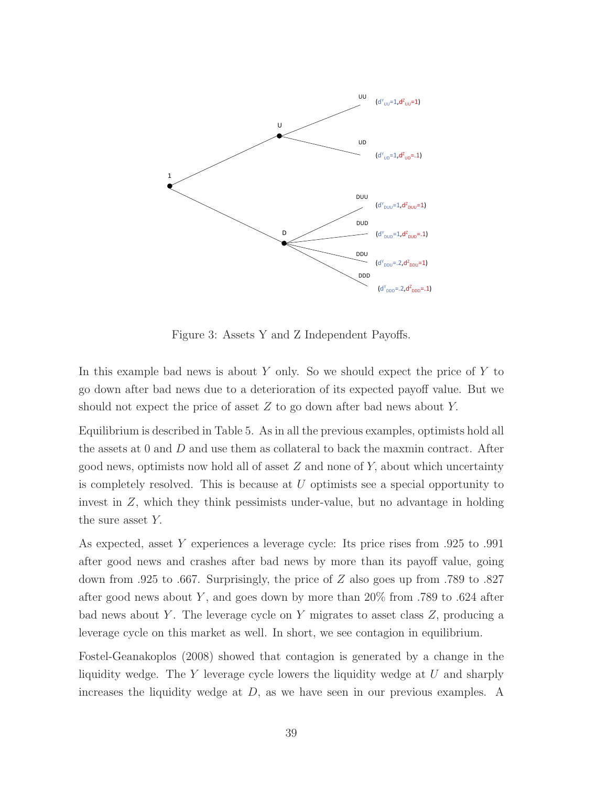

Figure 3: Assets Y and Z Independent Payoffs.

In this example bad news is about  $Y$  only. So we should expect the price of  $Y$  to go down after bad news due to a deterioration of its expected payoff value. But we should not expect the price of asset  $Z$  to go down after bad news about  $Y$ .

Equilibrium is described in Table 5. As in all the previous examples, optimists hold all the assets at 0 and  $D$  and use them as collateral to back the maxmin contract. After good news, optimists now hold all of asset  $Z$  and none of  $Y$ , about which uncertainty is completely resolved. This is because at U optimists see a special opportunity to invest in Z, which they think pessimists under-value, but no advantage in holding the sure asset Y.

As expected, asset Y experiences a leverage cycle: Its price rises from .925 to .991 after good news and crashes after bad news by more than its payoff value, going down from .925 to .667. Surprisingly, the price of  $Z$  also goes up from .789 to .827 after good news about Y, and goes down by more than  $20\%$  from .789 to .624 after bad news about Y. The leverage cycle on Y migrates to asset class  $Z$ , producing a leverage cycle on this market as well. In short, we see contagion in equilibrium.

Fostel-Geanakoplos (2008) showed that contagion is generated by a change in the liquidity wedge. The  $Y$  leverage cycle lowers the liquidity wedge at  $U$  and sharply increases the liquidity wedge at  $D$ , as we have seen in our previous examples. A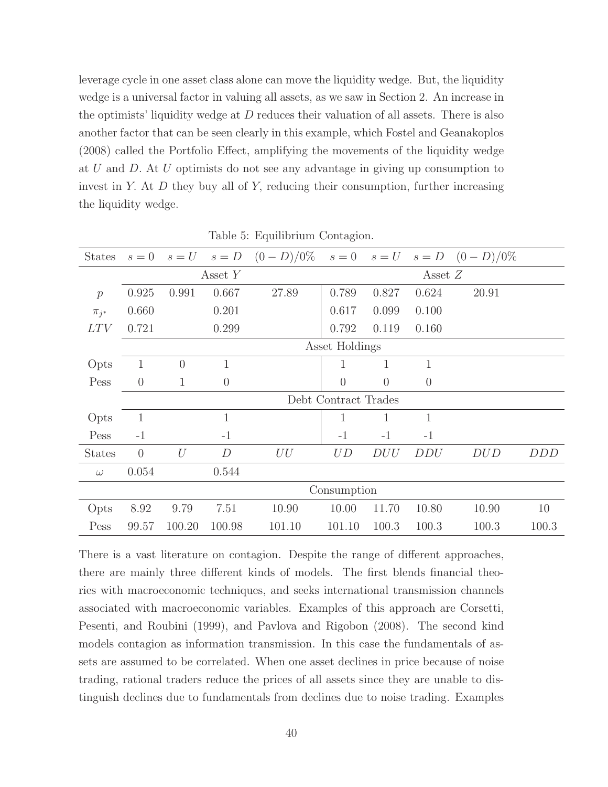leverage cycle in one asset class alone can move the liquidity wedge. But, the liquidity wedge is a universal factor in valuing all assets, as we saw in Section 2. An increase in the optimists' liquidity wedge at  $D$  reduces their valuation of all assets. There is also another factor that can be seen clearly in this example, which Fostel and Geanakoplos (2008) called the Portfolio Effect, amplifying the movements of the liquidity wedge at U and D. At U optimists do not see any advantage in giving up consumption to invest in Y. At  $D$  they buy all of Y, reducing their consumption, further increasing the liquidity wedge.

| <b>States</b>  | $s=0$                | $s=U$          | $s = D$      | $(0-D)/0\%$ | $s=0$          |              | $s = U$ $s = D$ | $(0-D)/0\%$ |            |
|----------------|----------------------|----------------|--------------|-------------|----------------|--------------|-----------------|-------------|------------|
|                |                      |                | Asset $Y$    |             | Asset $Z$      |              |                 |             |            |
| $\overline{p}$ | 0.925                | 0.991          | 0.667        | 27.89       | 0.789          | 0.827        | 0.624           | 20.91       |            |
| $\pi_{i^*}$    | 0.660                |                | 0.201        |             | 0.617          | 0.099        | 0.100           |             |            |
| LTV            | 0.721                |                | 0.299        |             | 0.792          | 0.119        | 0.160           |             |            |
|                | Asset Holdings       |                |              |             |                |              |                 |             |            |
| Opts           | 1                    | $\overline{0}$ | $\mathbf{1}$ |             | 1              | 1            | 1               |             |            |
| Pess           | $\overline{0}$       | 1              | $\theta$     |             | $\overline{0}$ | $\theta$     | $\theta$        |             |            |
|                | Debt Contract Trades |                |              |             |                |              |                 |             |            |
| Opts           | 1                    |                | $\mathbf{1}$ |             | 1              | $\mathbf{1}$ | $\mathbf{1}$    |             |            |
| Pess           | $-1$                 |                | $-1$         |             | $-1$           | $-1$         | $-1$            |             |            |
| <b>States</b>  | $\overline{0}$       | $\mathcal{U}$  | D            | UU          | UD             | DUU          | <i>DDU</i>      | DUD         | <i>DDD</i> |
| $\omega$       | 0.054                |                | 0.544        |             |                |              |                 |             |            |
|                | Consumption          |                |              |             |                |              |                 |             |            |
| Opts           | 8.92                 | 9.79           | 7.51         | 10.90       | 10.00          | 11.70        | 10.80           | 10.90       | 10         |
| Pess           | 99.57                | 100.20         | 100.98       | 101.10      | 101.10         | 100.3        | 100.3           | 100.3       | 100.3      |

Table 5: Equilibrium Contagion.

There is a vast literature on contagion. Despite the range of different approaches, there are mainly three different kinds of models. The first blends financial theories with macroeconomic techniques, and seeks international transmission channels associated with macroeconomic variables. Examples of this approach are Corsetti, Pesenti, and Roubini (1999), and Pavlova and Rigobon (2008). The second kind models contagion as information transmission. In this case the fundamentals of assets are assumed to be correlated. When one asset declines in price because of noise trading, rational traders reduce the prices of all assets since they are unable to distinguish declines due to fundamentals from declines due to noise trading. Examples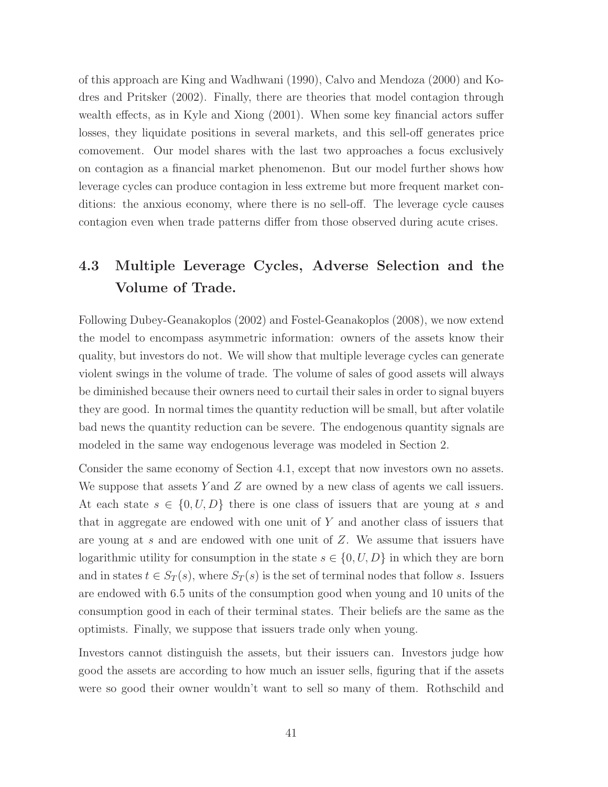of this approach are King and Wadhwani (1990), Calvo and Mendoza (2000) and Kodres and Pritsker (2002). Finally, there are theories that model contagion through wealth effects, as in Kyle and Xiong (2001). When some key financial actors suffer losses, they liquidate positions in several markets, and this sell-off generates price comovement. Our model shares with the last two approaches a focus exclusively on contagion as a financial market phenomenon. But our model further shows how leverage cycles can produce contagion in less extreme but more frequent market conditions: the anxious economy, where there is no sell-off. The leverage cycle causes contagion even when trade patterns differ from those observed during acute crises.

## **4.3 Multiple Leverage Cycles, Adverse Selection and the Volume of Trade.**

Following Dubey-Geanakoplos (2002) and Fostel-Geanakoplos (2008), we now extend the model to encompass asymmetric information: owners of the assets know their quality, but investors do not. We will show that multiple leverage cycles can generate violent swings in the volume of trade. The volume of sales of good assets will always be diminished because their owners need to curtail their sales in order to signal buyers they are good. In normal times the quantity reduction will be small, but after volatile bad news the quantity reduction can be severe. The endogenous quantity signals are modeled in the same way endogenous leverage was modeled in Section 2.

Consider the same economy of Section 4.1, except that now investors own no assets. We suppose that assets Y and  $Z$  are owned by a new class of agents we call issuers. At each state  $s \in \{0, U, D\}$  there is one class of issuers that are young at s and that in aggregate are endowed with one unit of Y and another class of issuers that are young at s and are endowed with one unit of Z. We assume that issuers have logarithmic utility for consumption in the state  $s \in \{0, U, D\}$  in which they are born and in states  $t \in S_T(s)$ , where  $S_T(s)$  is the set of terminal nodes that follow s. Issuers are endowed with 6.5 units of the consumption good when young and 10 units of the consumption good in each of their terminal states. Their beliefs are the same as the optimists. Finally, we suppose that issuers trade only when young.

Investors cannot distinguish the assets, but their issuers can. Investors judge how good the assets are according to how much an issuer sells, figuring that if the assets were so good their owner wouldn't want to sell so many of them. Rothschild and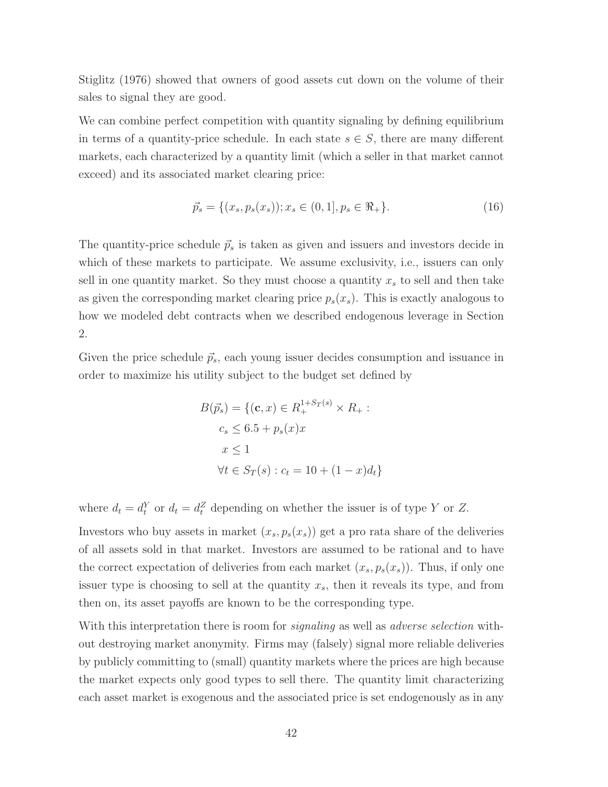Stiglitz (1976) showed that owners of good assets cut down on the volume of their sales to signal they are good.

We can combine perfect competition with quantity signaling by defining equilibrium in terms of a quantity-price schedule. In each state  $s \in S$ , there are many different markets, each characterized by a quantity limit (which a seller in that market cannot exceed) and its associated market clearing price:

$$
\vec{p}_s = \{(x_s, p_s(x_s)) ; x_s \in (0, 1], p_s \in \Re_+\}.
$$
\n(16)

The quantity-price schedule  $\vec{p}_s$  is taken as given and issuers and investors decide in which of these markets to participate. We assume exclusivity, i.e., issuers can only sell in one quantity market. So they must choose a quantity  $x_s$  to sell and then take as given the corresponding market clearing price  $p_s(x_s)$ . This is exactly analogous to how we modeled debt contracts when we described endogenous leverage in Section 2.

Given the price schedule  $\vec{p}_s$ , each young issuer decides consumption and issuance in order to maximize his utility subject to the budget set defined by

$$
B(\vec{p}_s) = \{ (\mathbf{c}, x) \in R_+^{1+S_T(s)} \times R_+ :
$$
  
\n
$$
c_s \le 6.5 + p_s(x)x
$$
  
\n
$$
x \le 1
$$
  
\n
$$
\forall t \in S_T(s) : c_t = 10 + (1 - x)d_t \}
$$

where  $d_t = d_t^Y$  or  $d_t = d_t^Z$  depending on whether the issuer is of type Y or Z.

Investors who buy assets in market  $(x_s, p_s(x_s))$  get a pro rata share of the deliveries of all assets sold in that market. Investors are assumed to be rational and to have the correct expectation of deliveries from each market  $(x_s, p_s(x_s))$ . Thus, if only one issuer type is choosing to sell at the quantity  $x_s$ , then it reveals its type, and from then on, its asset payoffs are known to be the corresponding type.

With this interpretation there is room for *signaling* as well as *adverse selection* without destroying market anonymity. Firms may (falsely) signal more reliable deliveries by publicly committing to (small) quantity markets where the prices are high because the market expects only good types to sell there. The quantity limit characterizing each asset market is exogenous and the associated price is set endogenously as in any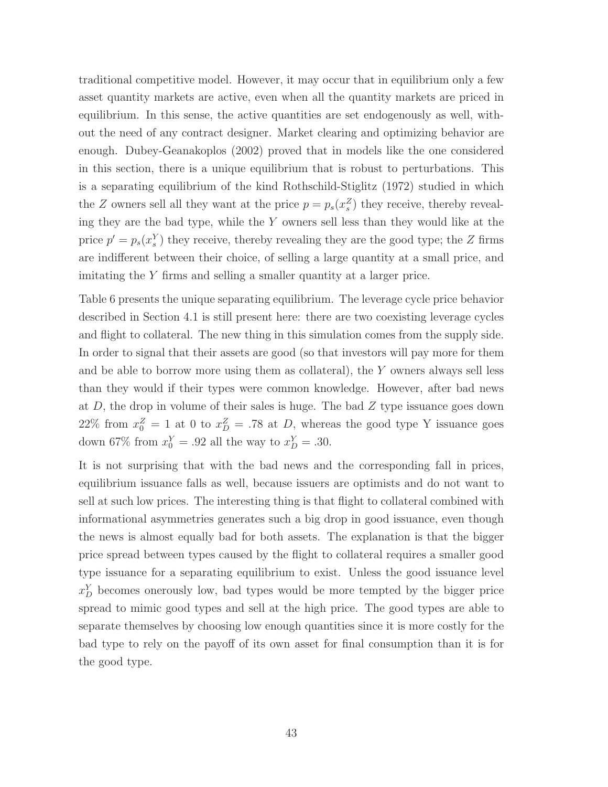traditional competitive model. However, it may occur that in equilibrium only a few asset quantity markets are active, even when all the quantity markets are priced in equilibrium. In this sense, the active quantities are set endogenously as well, without the need of any contract designer. Market clearing and optimizing behavior are enough. Dubey-Geanakoplos (2002) proved that in models like the one considered in this section, there is a unique equilibrium that is robust to perturbations. This is a separating equilibrium of the kind Rothschild-Stiglitz (1972) studied in which the Z owners sell all they want at the price  $p = p_s(x_s^Z)$  they receive, thereby revealing they are the bad type, while the Y owners sell less than they would like at the price  $p' = p_s(x_s^Y)$  they receive, thereby revealing they are the good type; the Z firms are indifferent between their choice, of selling a large quantity at a small price, and imitating the Y firms and selling a smaller quantity at a larger price.

Table 6 presents the unique separating equilibrium. The leverage cycle price behavior described in Section 4.1 is still present here: there are two coexisting leverage cycles and flight to collateral. The new thing in this simulation comes from the supply side. In order to signal that their assets are good (so that investors will pay more for them and be able to borrow more using them as collateral), the Y owners always sell less than they would if their types were common knowledge. However, after bad news at  $D$ , the drop in volume of their sales is huge. The bad  $Z$  type issuance goes down  $22\%$  from  $x_0^Z = 1$  at 0 to  $x_D^Z = .78$  at D, whereas the good type Y issuance goes down 67% from  $x_0^Y = .92$  all the way to  $x_D^Y = .30$ .

It is not surprising that with the bad news and the corresponding fall in prices, equilibrium issuance falls as well, because issuers are optimists and do not want to sell at such low prices. The interesting thing is that flight to collateral combined with informational asymmetries generates such a big drop in good issuance, even though the news is almost equally bad for both assets. The explanation is that the bigger price spread between types caused by the flight to collateral requires a smaller good type issuance for a separating equilibrium to exist. Unless the good issuance level  $x_D^Y$  becomes onerously low, bad types would be more tempted by the bigger price spread to mimic good types and sell at the high price. The good types are able to separate themselves by choosing low enough quantities since it is more costly for the bad type to rely on the payoff of its own asset for final consumption than it is for the good type.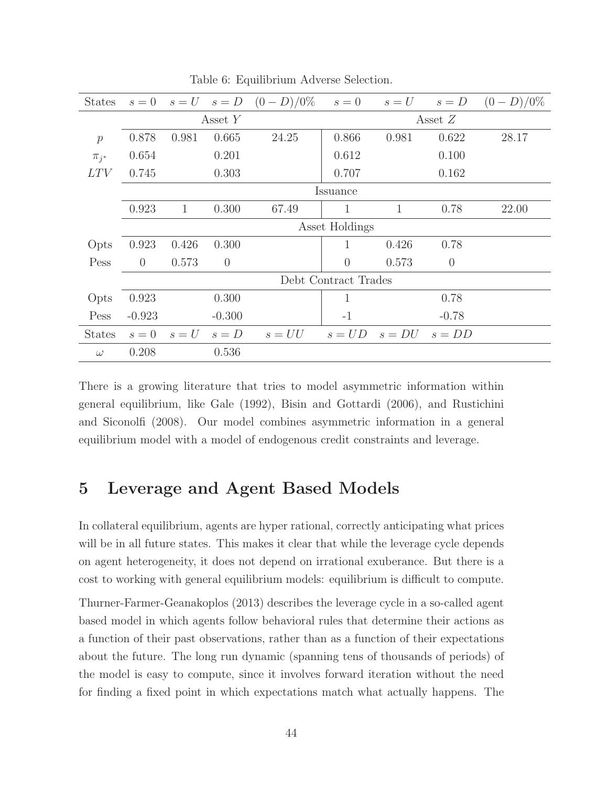| <b>States</b>  | $s=0$          |              | $s = U$ $s = D$ | $(0-D)/0\%$ | $s=0$                | $s=U$    | $s = D$  | $(0-D)/0\%$ |
|----------------|----------------|--------------|-----------------|-------------|----------------------|----------|----------|-------------|
|                |                |              | Asset $Y$       |             | Asset $Z$            |          |          |             |
| $\overline{p}$ | 0.878          | 0.981        | 0.665           | 24.25       | 0.866                | 0.981    | 0.622    | 28.17       |
| $\pi_{i^*}$    | 0.654          |              | 0.201           |             | 0.612                |          | 0.100    |             |
| LTV            | 0.745          |              | 0.303           |             | 0.707                |          | 0.162    |             |
|                |                |              |                 |             | Issuance             |          |          |             |
|                | 0.923          | $\mathbf{1}$ | 0.300           | 67.49       | 1                    | 1        | 0.78     | 22.00       |
|                |                |              |                 |             | Asset Holdings       |          |          |             |
| Opts           | 0.923          | 0.426        | 0.300           |             | 1                    | 0.426    | 0.78     |             |
| Pess           | $\overline{0}$ | 0.573        | $\overline{0}$  |             | $\overline{0}$       | 0.573    | $\theta$ |             |
|                |                |              |                 |             | Debt Contract Trades |          |          |             |
| Opts           | 0.923          |              | 0.300           |             | $\mathbf 1$          |          | 0.78     |             |
| Pess           | $-0.923$       |              | $-0.300$        |             | $-1$                 |          | $-0.78$  |             |
| <b>States</b>  | $s=0$          | $s=U$        | $s = D$         | $s=UU$      | $s = UD$             | $s = DU$ | $s = DD$ |             |
| $\omega$       | 0.208          |              | 0.536           |             |                      |          |          |             |

Table 6: Equilibrium Adverse Selection.

There is a growing literature that tries to model asymmetric information within general equilibrium, like Gale (1992), Bisin and Gottardi (2006), and Rustichini and Siconolfi (2008). Our model combines asymmetric information in a general equilibrium model with a model of endogenous credit constraints and leverage.

## **5 Leverage and Agent Based Models**

In collateral equilibrium, agents are hyper rational, correctly anticipating what prices will be in all future states. This makes it clear that while the leverage cycle depends on agent heterogeneity, it does not depend on irrational exuberance. But there is a cost to working with general equilibrium models: equilibrium is difficult to compute.

Thurner-Farmer-Geanakoplos (2013) describes the leverage cycle in a so-called agent based model in which agents follow behavioral rules that determine their actions as a function of their past observations, rather than as a function of their expectations about the future. The long run dynamic (spanning tens of thousands of periods) of the model is easy to compute, since it involves forward iteration without the need for finding a fixed point in which expectations match what actually happens. The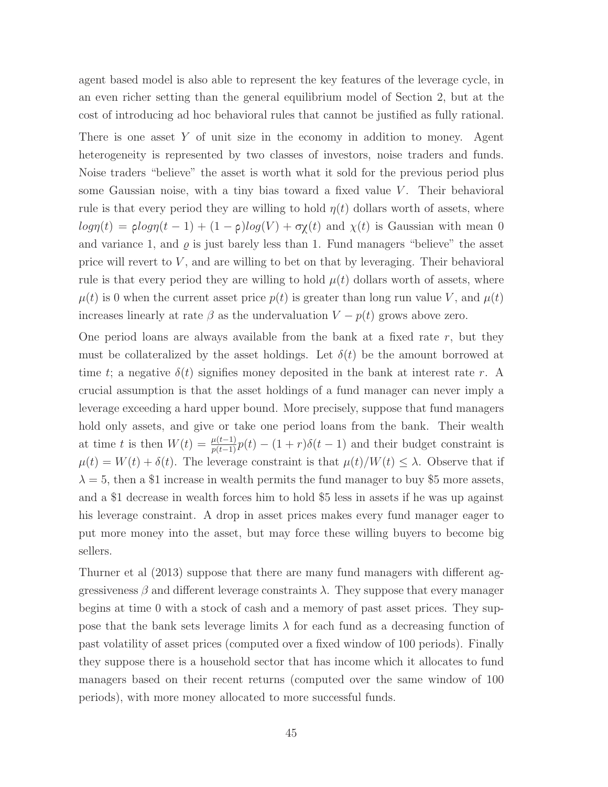agent based model is also able to represent the key features of the leverage cycle, in an even richer setting than the general equilibrium model of Section 2, but at the cost of introducing ad hoc behavioral rules that cannot be justified as fully rational.

There is one asset  $Y$  of unit size in the economy in addition to money. Agent heterogeneity is represented by two classes of investors, noise traders and funds. Noise traders "believe" the asset is worth what it sold for the previous period plus some Gaussian noise, with a tiny bias toward a fixed value  $V$ . Their behavioral rule is that every period they are willing to hold  $\eta(t)$  dollars worth of assets, where  $log \eta(t) = \rho log \eta(t-1) + (1-\rho)log(V) + \sigma \chi(t)$  and  $\chi(t)$  is Gaussian with mean 0 and variance 1, and  $\varrho$  is just barely less than 1. Fund managers "believe" the asset price will revert to  $V$ , and are willing to bet on that by leveraging. Their behavioral rule is that every period they are willing to hold  $\mu(t)$  dollars worth of assets, where  $\mu(t)$  is 0 when the current asset price  $p(t)$  is greater than long run value V, and  $\mu(t)$ increases linearly at rate  $\beta$  as the undervaluation  $V - p(t)$  grows above zero.

One period loans are always available from the bank at a fixed rate  $r$ , but they must be collateralized by the asset holdings. Let  $\delta(t)$  be the amount borrowed at time t; a negative  $\delta(t)$  signifies money deposited in the bank at interest rate r. A crucial assumption is that the asset holdings of a fund manager can never imply a leverage exceeding a hard upper bound. More precisely, suppose that fund managers hold only assets, and give or take one period loans from the bank. Their wealth at time t is then  $W(t) = \frac{\mu(t-1)}{p(t-1)}p(t) - (1+r)\delta(t-1)$  and their budget constraint is  $\mu(t) = W(t) + \delta(t)$ . The leverage constraint is that  $\mu(t)/W(t) \leq \lambda$ . Observe that if  $\lambda = 5$ , then a \$1 increase in wealth permits the fund manager to buy \$5 more assets, and a \$1 decrease in wealth forces him to hold \$5 less in assets if he was up against his leverage constraint. A drop in asset prices makes every fund manager eager to put more money into the asset, but may force these willing buyers to become big sellers.

Thurner et al (2013) suppose that there are many fund managers with different aggressiveness  $\beta$  and different leverage constraints  $\lambda$ . They suppose that every manager begins at time 0 with a stock of cash and a memory of past asset prices. They suppose that the bank sets leverage limits  $\lambda$  for each fund as a decreasing function of past volatility of asset prices (computed over a fixed window of 100 periods). Finally they suppose there is a household sector that has income which it allocates to fund managers based on their recent returns (computed over the same window of 100 periods), with more money allocated to more successful funds.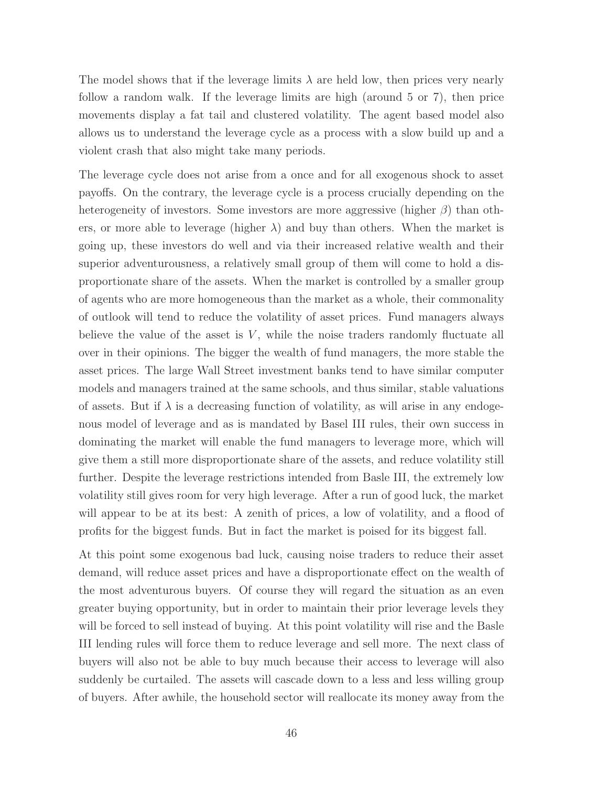The model shows that if the leverage limits  $\lambda$  are held low, then prices very nearly follow a random walk. If the leverage limits are high (around 5 or 7), then price movements display a fat tail and clustered volatility. The agent based model also allows us to understand the leverage cycle as a process with a slow build up and a violent crash that also might take many periods.

The leverage cycle does not arise from a once and for all exogenous shock to asset payoffs. On the contrary, the leverage cycle is a process crucially depending on the heterogeneity of investors. Some investors are more aggressive (higher  $\beta$ ) than others, or more able to leverage (higher  $\lambda$ ) and buy than others. When the market is going up, these investors do well and via their increased relative wealth and their superior adventurousness, a relatively small group of them will come to hold a disproportionate share of the assets. When the market is controlled by a smaller group of agents who are more homogeneous than the market as a whole, their commonality of outlook will tend to reduce the volatility of asset prices. Fund managers always believe the value of the asset is  $V$ , while the noise traders randomly fluctuate all over in their opinions. The bigger the wealth of fund managers, the more stable the asset prices. The large Wall Street investment banks tend to have similar computer models and managers trained at the same schools, and thus similar, stable valuations of assets. But if  $\lambda$  is a decreasing function of volatility, as will arise in any endogenous model of leverage and as is mandated by Basel III rules, their own success in dominating the market will enable the fund managers to leverage more, which will give them a still more disproportionate share of the assets, and reduce volatility still further. Despite the leverage restrictions intended from Basle III, the extremely low volatility still gives room for very high leverage. After a run of good luck, the market will appear to be at its best: A zenith of prices, a low of volatility, and a flood of profits for the biggest funds. But in fact the market is poised for its biggest fall.

At this point some exogenous bad luck, causing noise traders to reduce their asset demand, will reduce asset prices and have a disproportionate effect on the wealth of the most adventurous buyers. Of course they will regard the situation as an even greater buying opportunity, but in order to maintain their prior leverage levels they will be forced to sell instead of buying. At this point volatility will rise and the Basle III lending rules will force them to reduce leverage and sell more. The next class of buyers will also not be able to buy much because their access to leverage will also suddenly be curtailed. The assets will cascade down to a less and less willing group of buyers. After awhile, the household sector will reallocate its money away from the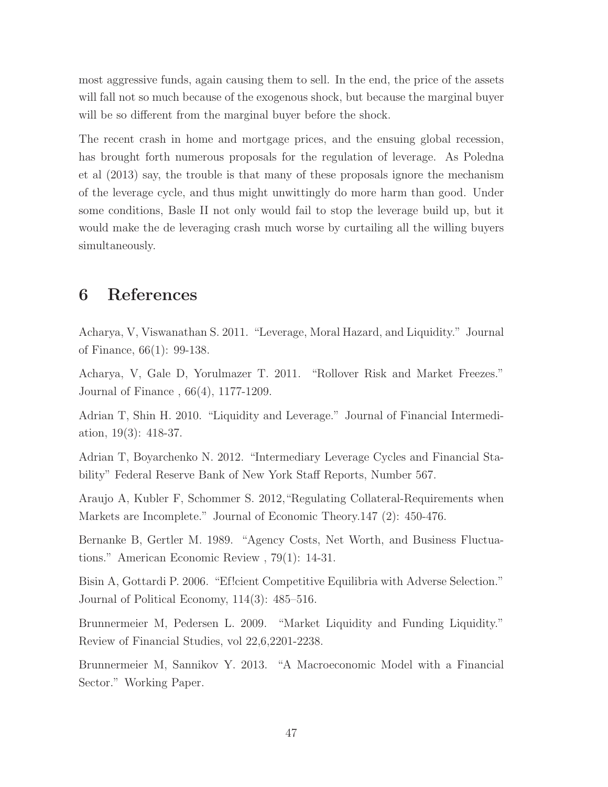most aggressive funds, again causing them to sell. In the end, the price of the assets will fall not so much because of the exogenous shock, but because the marginal buyer will be so different from the marginal buyer before the shock.

The recent crash in home and mortgage prices, and the ensuing global recession, has brought forth numerous proposals for the regulation of leverage. As Poledna et al (2013) say, the trouble is that many of these proposals ignore the mechanism of the leverage cycle, and thus might unwittingly do more harm than good. Under some conditions, Basle II not only would fail to stop the leverage build up, but it would make the de leveraging crash much worse by curtailing all the willing buyers simultaneously.

## **6 References**

Acharya, V, Viswanathan S. 2011. "Leverage, Moral Hazard, and Liquidity." Journal of Finance, 66(1): 99-138.

Acharya, V, Gale D, Yorulmazer T. 2011. "Rollover Risk and Market Freezes." Journal of Finance , 66(4), 1177-1209.

Adrian T, Shin H. 2010. "Liquidity and Leverage." Journal of Financial Intermediation, 19(3): 418-37.

Adrian T, Boyarchenko N. 2012. "Intermediary Leverage Cycles and Financial Stability" Federal Reserve Bank of New York Staff Reports, Number 567.

Araujo A, Kubler F, Schommer S. 2012,"Regulating Collateral-Requirements when Markets are Incomplete." Journal of Economic Theory.147 (2): 450-476.

Bernanke B, Gertler M. 1989. "Agency Costs, Net Worth, and Business Fluctuations." American Economic Review , 79(1): 14-31.

Bisin A, Gottardi P. 2006. "Ef!cient Competitive Equilibria with Adverse Selection." Journal of Political Economy, 114(3): 485–516.

Brunnermeier M, Pedersen L. 2009. "Market Liquidity and Funding Liquidity." Review of Financial Studies, vol 22,6,2201-2238.

Brunnermeier M, Sannikov Y. 2013. "A Macroeconomic Model with a Financial Sector." Working Paper.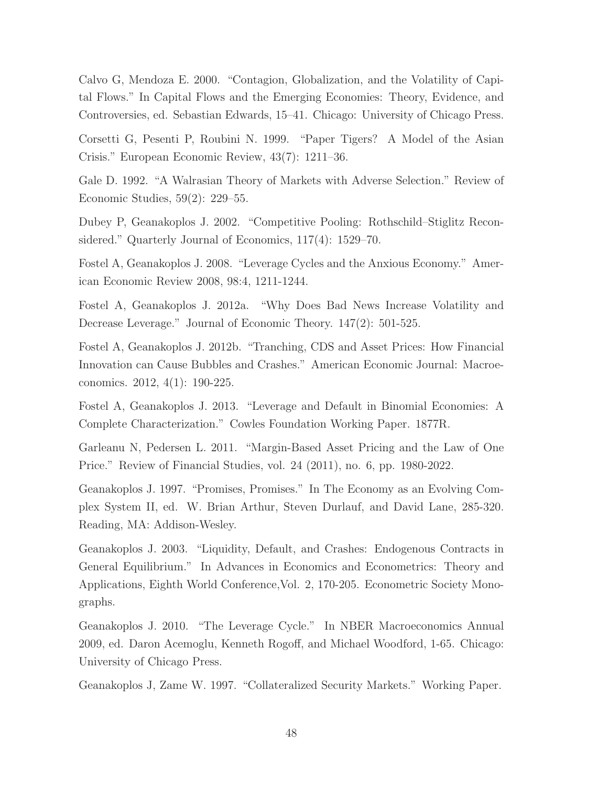Calvo G, Mendoza E. 2000. "Contagion, Globalization, and the Volatility of Capital Flows." In Capital Flows and the Emerging Economies: Theory, Evidence, and Controversies, ed. Sebastian Edwards, 15–41. Chicago: University of Chicago Press.

Corsetti G, Pesenti P, Roubini N. 1999. "Paper Tigers? A Model of the Asian Crisis." European Economic Review, 43(7): 1211–36.

Gale D. 1992. "A Walrasian Theory of Markets with Adverse Selection." Review of Economic Studies, 59(2): 229–55.

Dubey P, Geanakoplos J. 2002. "Competitive Pooling: Rothschild–Stiglitz Reconsidered." Quarterly Journal of Economics, 117(4): 1529–70.

Fostel A, Geanakoplos J. 2008. "Leverage Cycles and the Anxious Economy." American Economic Review 2008, 98:4, 1211-1244.

Fostel A, Geanakoplos J. 2012a. "Why Does Bad News Increase Volatility and Decrease Leverage." Journal of Economic Theory. 147(2): 501-525.

Fostel A, Geanakoplos J. 2012b. "Tranching, CDS and Asset Prices: How Financial Innovation can Cause Bubbles and Crashes." American Economic Journal: Macroeconomics. 2012, 4(1): 190-225.

Fostel A, Geanakoplos J. 2013. "Leverage and Default in Binomial Economies: A Complete Characterization." Cowles Foundation Working Paper. 1877R.

Garleanu N, Pedersen L. 2011. "Margin-Based Asset Pricing and the Law of One Price." Review of Financial Studies, vol. 24 (2011), no. 6, pp. 1980-2022.

Geanakoplos J. 1997. "Promises, Promises." In The Economy as an Evolving Complex System II, ed. W. Brian Arthur, Steven Durlauf, and David Lane, 285-320. Reading, MA: Addison-Wesley.

Geanakoplos J. 2003. "Liquidity, Default, and Crashes: Endogenous Contracts in General Equilibrium." In Advances in Economics and Econometrics: Theory and Applications, Eighth World Conference,Vol. 2, 170-205. Econometric Society Monographs.

Geanakoplos J. 2010. "The Leverage Cycle." In NBER Macroeconomics Annual 2009, ed. Daron Acemoglu, Kenneth Rogoff, and Michael Woodford, 1-65. Chicago: University of Chicago Press.

Geanakoplos J, Zame W. 1997. "Collateralized Security Markets." Working Paper.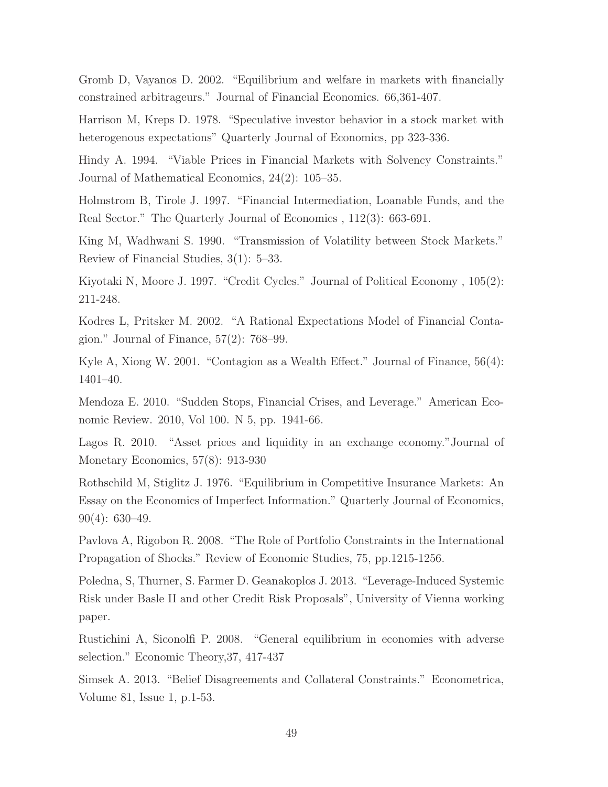Gromb D, Vayanos D. 2002. "Equilibrium and welfare in markets with financially constrained arbitrageurs." Journal of Financial Economics. 66,361-407.

Harrison M, Kreps D. 1978. "Speculative investor behavior in a stock market with heterogenous expectations" Quarterly Journal of Economics, pp 323-336.

Hindy A. 1994. "Viable Prices in Financial Markets with Solvency Constraints." Journal of Mathematical Economics, 24(2): 105–35.

Holmstrom B, Tirole J. 1997. "Financial Intermediation, Loanable Funds, and the Real Sector." The Quarterly Journal of Economics , 112(3): 663-691.

King M, Wadhwani S. 1990. "Transmission of Volatility between Stock Markets." Review of Financial Studies, 3(1): 5–33.

Kiyotaki N, Moore J. 1997. "Credit Cycles." Journal of Political Economy , 105(2): 211-248.

Kodres L, Pritsker M. 2002. "A Rational Expectations Model of Financial Contagion." Journal of Finance,  $57(2)$ :  $768-99$ .

Kyle A, Xiong W. 2001. "Contagion as a Wealth Effect." Journal of Finance, 56(4): 1401–40.

Mendoza E. 2010. "Sudden Stops, Financial Crises, and Leverage." American Economic Review. 2010, Vol 100. N 5, pp. 1941-66.

Lagos R. 2010. "Asset prices and liquidity in an exchange economy."Journal of Monetary Economics, 57(8): 913-930

Rothschild M, Stiglitz J. 1976. "Equilibrium in Competitive Insurance Markets: An Essay on the Economics of Imperfect Information." Quarterly Journal of Economics,  $90(4): 630-49.$ 

Pavlova A, Rigobon R. 2008. "The Role of Portfolio Constraints in the International Propagation of Shocks." Review of Economic Studies, 75, pp.1215-1256.

Poledna, S, Thurner, S. Farmer D. Geanakoplos J. 2013. "Leverage-Induced Systemic Risk under Basle II and other Credit Risk Proposals", University of Vienna working paper.

Rustichini A, Siconolfi P. 2008. "General equilibrium in economies with adverse selection." Economic Theory,37, 417-437

Simsek A. 2013. "Belief Disagreements and Collateral Constraints." Econometrica, Volume 81, Issue 1, p.1-53.